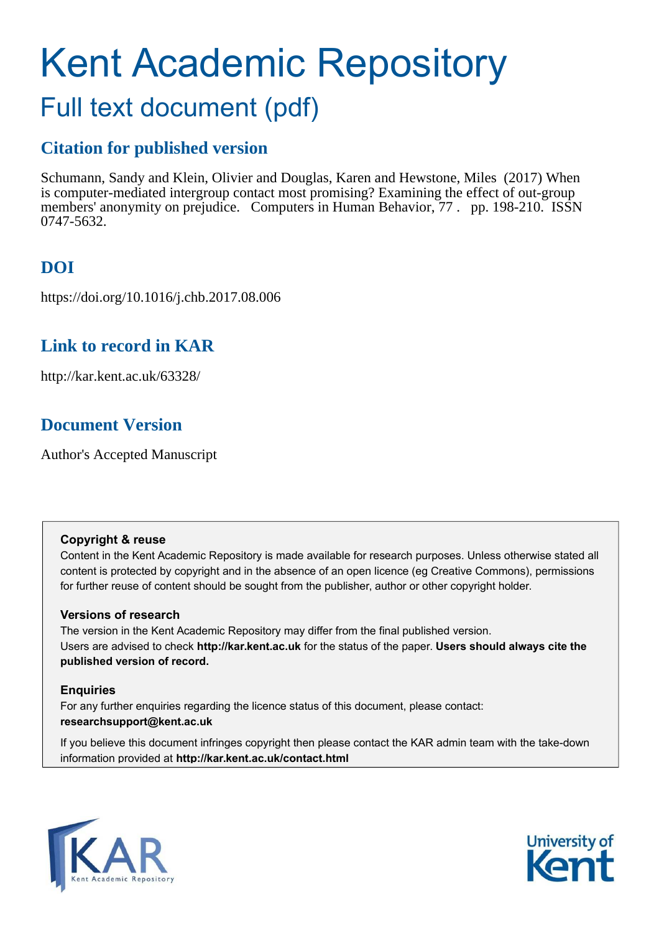# Kent Academic Repository Full text document (pdf)

# **Citation for published version**

Schumann, Sandy and Klein, Olivier and Douglas, Karen and Hewstone, Miles (2017) When is computer-mediated intergroup contact most promising? Examining the effect of out-group members' anonymity on prejudice. Computers in Human Behavior, 77 . pp. 198-210. ISSN 0747-5632.

# **DOI**

https://doi.org/10.1016/j.chb.2017.08.006

# **Link to record in KAR**

http://kar.kent.ac.uk/63328/

# **Document Version**

Author's Accepted Manuscript

## **Copyright & reuse**

Content in the Kent Academic Repository is made available for research purposes. Unless otherwise stated all content is protected by copyright and in the absence of an open licence (eg Creative Commons), permissions for further reuse of content should be sought from the publisher, author or other copyright holder.

## **Versions of research**

The version in the Kent Academic Repository may differ from the final published version. Users are advised to check **http://kar.kent.ac.uk** for the status of the paper. **Users should always cite the published version of record.**

## **Enquiries**

For any further enquiries regarding the licence status of this document, please contact: **researchsupport@kent.ac.uk**

If you believe this document infringes copyright then please contact the KAR admin team with the take-down information provided at **http://kar.kent.ac.uk/contact.html**



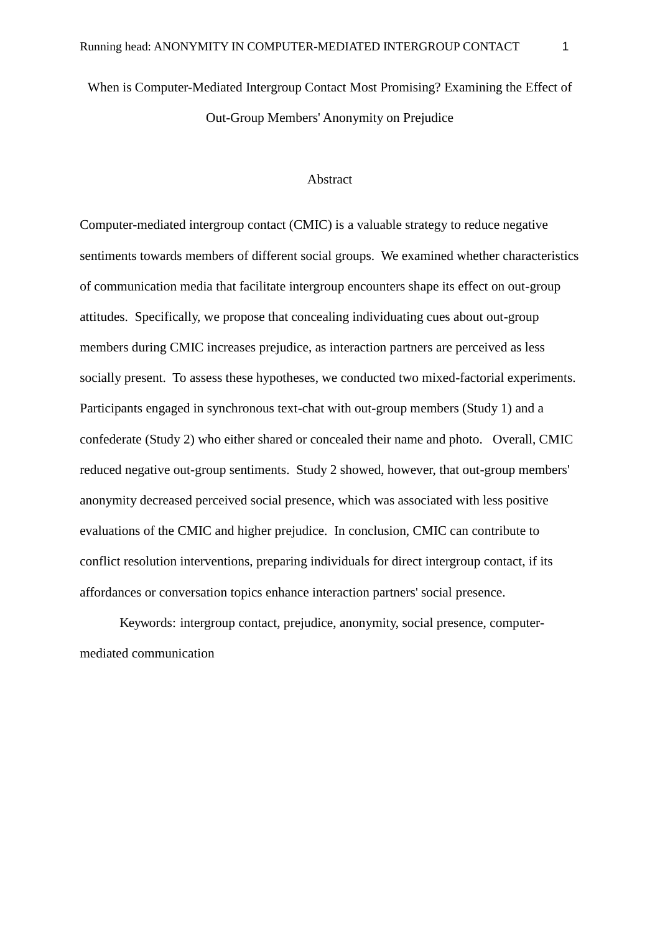When is Computer-Mediated Intergroup Contact Most Promising? Examining the Effect of Out-Group Members' Anonymity on Prejudice

#### Abstract

Computer-mediated intergroup contact (CMIC) is a valuable strategy to reduce negative sentiments towards members of different social groups. We examined whether characteristics of communication media that facilitate intergroup encounters shape its effect on out-group attitudes. Specifically, we propose that concealing individuating cues about out-group members during CMIC increases prejudice, as interaction partners are perceived as less socially present. To assess these hypotheses, we conducted two mixed-factorial experiments. Participants engaged in synchronous text-chat with out-group members (Study 1) and a confederate (Study 2) who either shared or concealed their name and photo. Overall, CMIC reduced negative out-group sentiments. Study 2 showed, however, that out-group members' anonymity decreased perceived social presence, which was associated with less positive evaluations of the CMIC and higher prejudice. In conclusion, CMIC can contribute to conflict resolution interventions, preparing individuals for direct intergroup contact, if its affordances or conversation topics enhance interaction partners' social presence.

 Keywords: intergroup contact, prejudice, anonymity, social presence, computermediated communication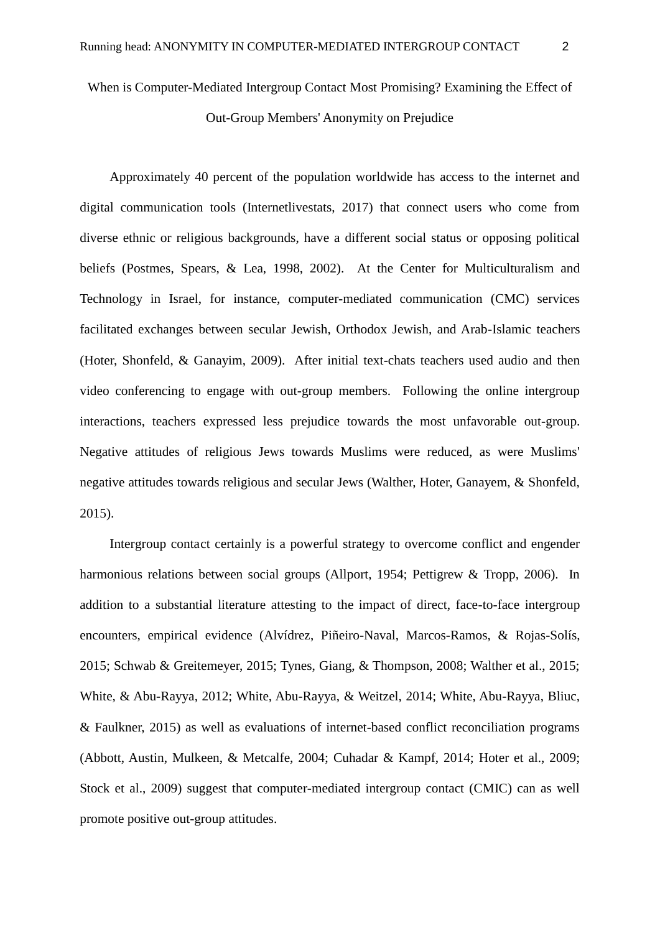# When is Computer-Mediated Intergroup Contact Most Promising? Examining the Effect of

Out-Group Members' Anonymity on Prejudice

Approximately 40 percent of the population worldwide has access to the internet and digital communication tools (Internetlivestats, 2017) that connect users who come from diverse ethnic or religious backgrounds, have a different social status or opposing political beliefs (Postmes, Spears, & Lea, 1998, 2002). At the Center for Multiculturalism and Technology in Israel, for instance, computer-mediated communication (CMC) services facilitated exchanges between secular Jewish, Orthodox Jewish, and Arab-Islamic teachers (Hoter, Shonfeld, & Ganayim, 2009). After initial text-chats teachers used audio and then video conferencing to engage with out-group members. Following the online intergroup interactions, teachers expressed less prejudice towards the most unfavorable out-group. Negative attitudes of religious Jews towards Muslims were reduced, as were Muslims' negative attitudes towards religious and secular Jews (Walther, Hoter, Ganayem, & Shonfeld, 2015).

Intergroup contact certainly is a powerful strategy to overcome conflict and engender harmonious relations between social groups (Allport, 1954; Pettigrew & Tropp, 2006). In addition to a substantial literature attesting to the impact of direct, face-to-face intergroup encounters, empirical evidence (Alvídrez, Piñeiro-Naval, Marcos-Ramos, & Rojas-Solís, 2015; Schwab & Greitemeyer, 2015; Tynes, Giang, & Thompson, 2008; Walther et al., 2015; White, & Abu-Rayya, 2012; White, Abu-Rayya, & Weitzel, 2014; White, Abu-Rayya, Bliuc, & Faulkner, 2015) as well as evaluations of internet-based conflict reconciliation programs (Abbott, Austin, Mulkeen, & Metcalfe, 2004; Cuhadar & Kampf, 2014; Hoter et al., 2009; Stock et al., 2009) suggest that computer-mediated intergroup contact (CMIC) can as well promote positive out-group attitudes.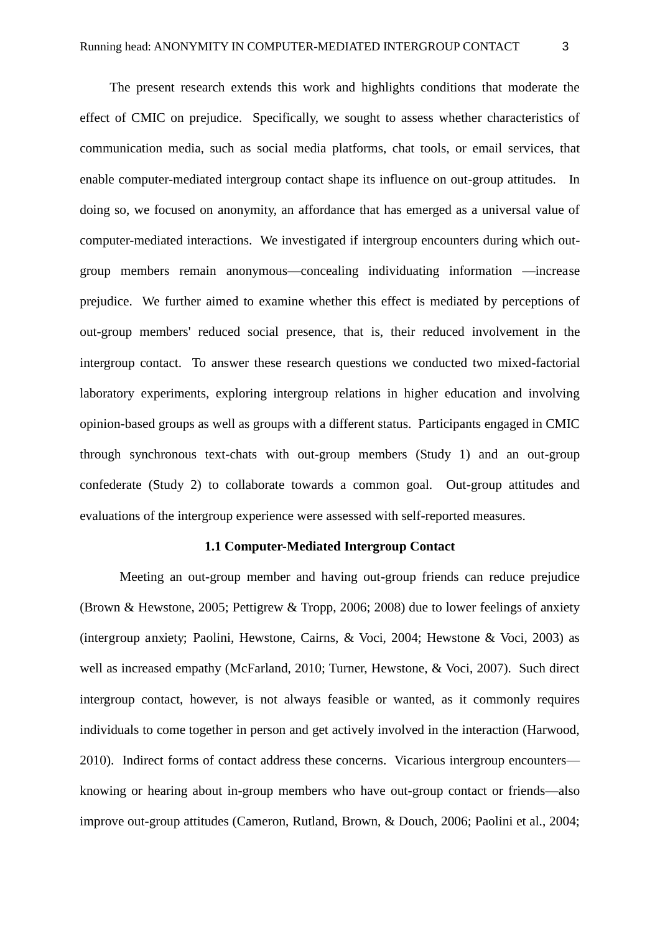The present research extends this work and highlights conditions that moderate the effect of CMIC on prejudice. Specifically, we sought to assess whether characteristics of communication media, such as social media platforms, chat tools, or email services, that enable computer-mediated intergroup contact shape its influence on out-group attitudes. In doing so, we focused on anonymity, an affordance that has emerged as a universal value of computer-mediated interactions. We investigated if intergroup encounters during which outgroup members remain anonymous—concealing individuating information —increase prejudice. We further aimed to examine whether this effect is mediated by perceptions of out-group members' reduced social presence, that is, their reduced involvement in the intergroup contact. To answer these research questions we conducted two mixed-factorial laboratory experiments, exploring intergroup relations in higher education and involving opinion-based groups as well as groups with a different status. Participants engaged in CMIC through synchronous text-chats with out-group members (Study 1) and an out-group confederate (Study 2) to collaborate towards a common goal. Out-group attitudes and evaluations of the intergroup experience were assessed with self-reported measures.

#### **1.1 Computer-Mediated Intergroup Contact**

 Meeting an out-group member and having out-group friends can reduce prejudice (Brown & Hewstone, 2005; Pettigrew & Tropp, 2006; 2008) due to lower feelings of anxiety (intergroup anxiety; Paolini, Hewstone, Cairns, & Voci, 2004; Hewstone & Voci, 2003) as well as increased empathy (McFarland, 2010; Turner, Hewstone, & Voci, 2007). Such direct intergroup contact, however, is not always feasible or wanted, as it commonly requires individuals to come together in person and get actively involved in the interaction (Harwood, 2010). Indirect forms of contact address these concerns. Vicarious intergroup encounters knowing or hearing about in-group members who have out-group contact or friends—also improve out-group attitudes (Cameron, Rutland, Brown, & Douch, 2006; Paolini et al., 2004;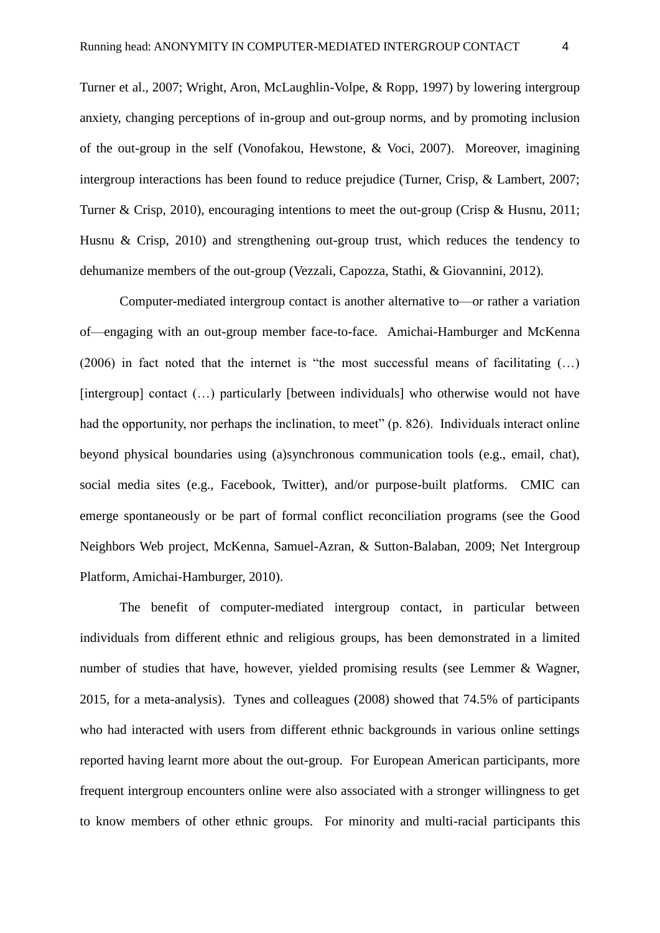Turner et al., 2007; Wright, Aron, McLaughlin-Volpe, & Ropp, 1997) by lowering intergroup anxiety, changing perceptions of in-group and out-group norms, and by promoting inclusion of the out-group in the self (Vonofakou, Hewstone, & Voci, 2007). Moreover, imagining intergroup interactions has been found to reduce prejudice (Turner, Crisp, & Lambert, 2007; Turner & Crisp, 2010), encouraging intentions to meet the out-group (Crisp & Husnu, 2011; Husnu & Crisp, 2010) and strengthening out-group trust, which reduces the tendency to dehumanize members of the out-group (Vezzali, Capozza, Stathi, & Giovannini, 2012).

Computer-mediated intergroup contact is another alternative to—or rather a variation of—engaging with an out-group member face-to-face. Amichai-Hamburger and McKenna (2006) in fact noted that the internet is "the most successful means of facilitating (…) [intergroup] contact (...) particularly [between individuals] who otherwise would not have had the opportunity, nor perhaps the inclination, to meet" (p. 826). Individuals interact online beyond physical boundaries using (a)synchronous communication tools (e.g., email, chat), social media sites (e.g., Facebook, Twitter), and/or purpose-built platforms. CMIC can emerge spontaneously or be part of formal conflict reconciliation programs (see the Good Neighbors Web project, McKenna, Samuel-Azran, & Sutton-Balaban, 2009; Net Intergroup Platform, Amichai-Hamburger, 2010).

The benefit of computer-mediated intergroup contact, in particular between individuals from different ethnic and religious groups, has been demonstrated in a limited number of studies that have, however, yielded promising results (see Lemmer & Wagner, 2015, for a meta-analysis). Tynes and colleagues (2008) showed that 74.5% of participants who had interacted with users from different ethnic backgrounds in various online settings reported having learnt more about the out-group. For European American participants, more frequent intergroup encounters online were also associated with a stronger willingness to get to know members of other ethnic groups. For minority and multi-racial participants this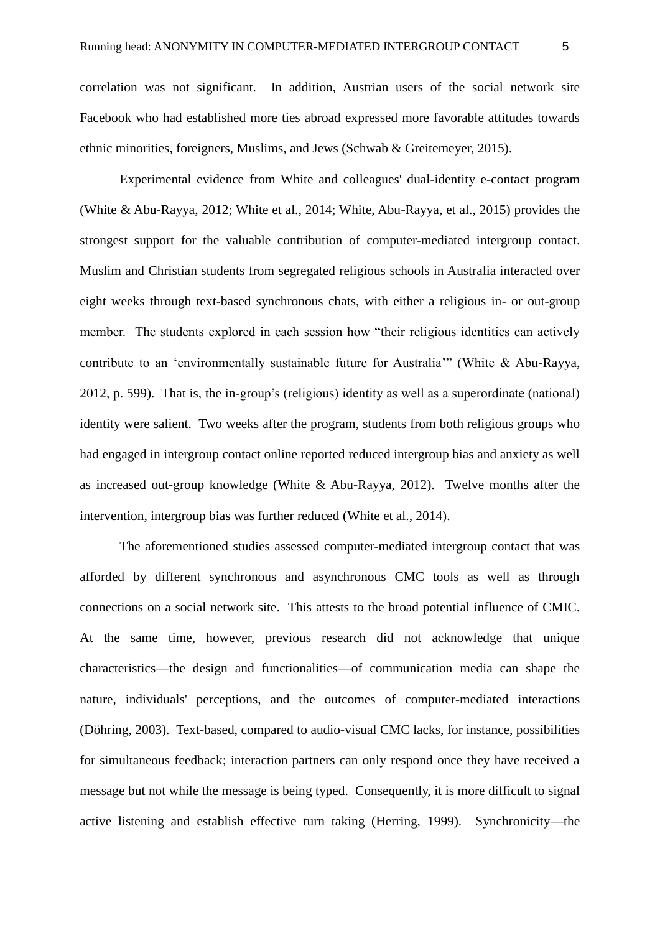correlation was not significant. In addition, Austrian users of the social network site Facebook who had established more ties abroad expressed more favorable attitudes towards ethnic minorities, foreigners, Muslims, and Jews (Schwab & Greitemeyer, 2015).

Experimental evidence from White and colleagues' dual-identity e-contact program (White & Abu-Rayya, 2012; White et al., 2014; White, Abu-Rayya, et al., 2015) provides the strongest support for the valuable contribution of computer-mediated intergroup contact. Muslim and Christian students from segregated religious schools in Australia interacted over eight weeks through text-based synchronous chats, with either a religious in- or out-group member. The students explored in each session how "their religious identities can actively contribute to an 'environmentally sustainable future for Australia'" (White & Abu-Rayya, 2012, p. 599). That is, the in-group's (religious) identity as well as a superordinate (national) identity were salient. Two weeks after the program, students from both religious groups who had engaged in intergroup contact online reported reduced intergroup bias and anxiety as well as increased out-group knowledge (White & Abu-Rayya, 2012). Twelve months after the intervention, intergroup bias was further reduced (White et al., 2014).

 The aforementioned studies assessed computer-mediated intergroup contact that was afforded by different synchronous and asynchronous CMC tools as well as through connections on a social network site. This attests to the broad potential influence of CMIC. At the same time, however, previous research did not acknowledge that unique characteristics—the design and functionalities—of communication media can shape the nature, individuals' perceptions, and the outcomes of computer-mediated interactions (Döhring, 2003). Text-based, compared to audio-visual CMC lacks, for instance, possibilities for simultaneous feedback; interaction partners can only respond once they have received a message but not while the message is being typed. Consequently, it is more difficult to signal active listening and establish effective turn taking (Herring, 1999). Synchronicity—the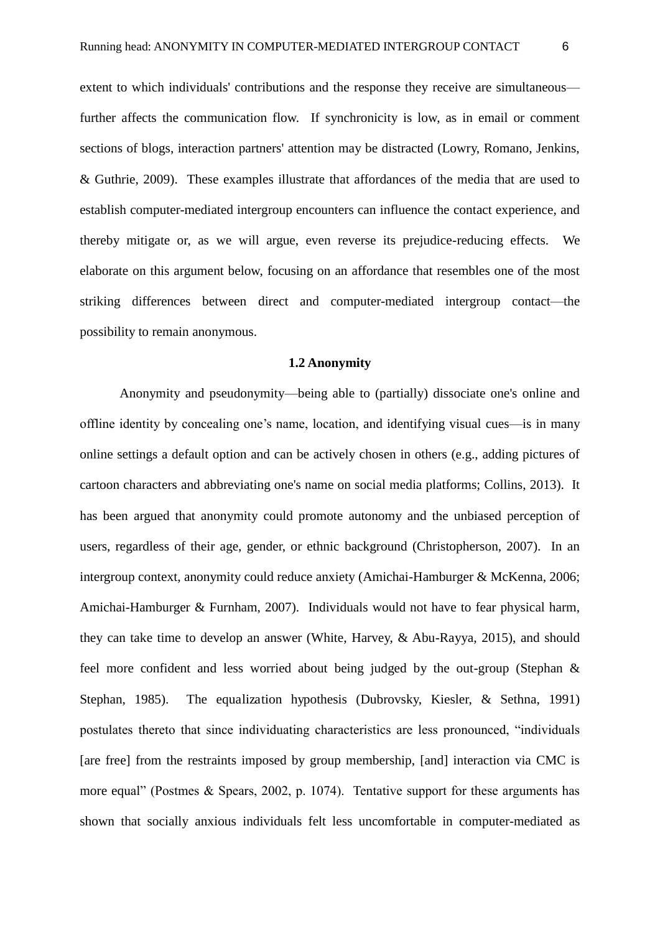extent to which individuals' contributions and the response they receive are simultaneous further affects the communication flow. If synchronicity is low, as in email or comment sections of blogs, interaction partners' attention may be distracted (Lowry, Romano, Jenkins, & Guthrie, 2009). These examples illustrate that affordances of the media that are used to establish computer-mediated intergroup encounters can influence the contact experience, and thereby mitigate or, as we will argue, even reverse its prejudice-reducing effects. We elaborate on this argument below, focusing on an affordance that resembles one of the most striking differences between direct and computer-mediated intergroup contact—the possibility to remain anonymous.

#### **1.2 Anonymity**

Anonymity and pseudonymity—being able to (partially) dissociate one's online and offline identity by concealing one's name, location, and identifying visual cues—is in many online settings a default option and can be actively chosen in others (e.g., adding pictures of cartoon characters and abbreviating one's name on social media platforms; Collins, 2013). It has been argued that anonymity could promote autonomy and the unbiased perception of users, regardless of their age, gender, or ethnic background (Christopherson, 2007). In an intergroup context, anonymity could reduce anxiety (Amichai-Hamburger & McKenna, 2006; Amichai-Hamburger & Furnham, 2007). Individuals would not have to fear physical harm, they can take time to develop an answer (White, Harvey, & Abu-Rayya, 2015), and should feel more confident and less worried about being judged by the out-group (Stephan & Stephan, 1985). The equalization hypothesis (Dubrovsky, Kiesler, & Sethna, 1991) postulates thereto that since individuating characteristics are less pronounced, "individuals [are free] from the restraints imposed by group membership, [and] interaction via CMC is more equal" (Postmes & Spears, 2002, p. 1074). Tentative support for these arguments has shown that socially anxious individuals felt less uncomfortable in computer-mediated as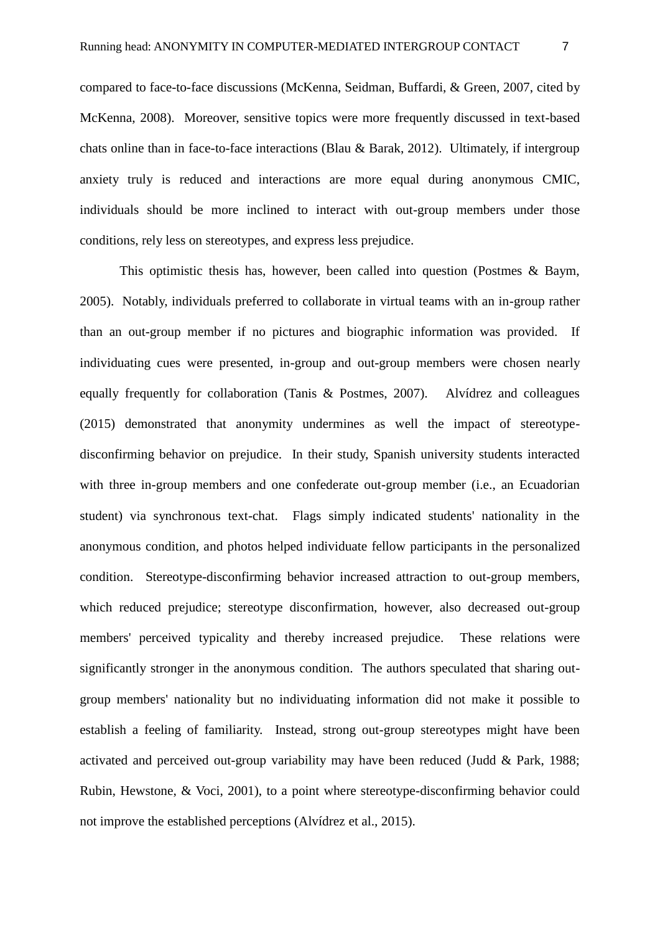compared to face-to-face discussions (McKenna, Seidman, Buffardi, & Green, 2007, cited by McKenna, 2008). Moreover, sensitive topics were more frequently discussed in text-based chats online than in face-to-face interactions (Blau & Barak, 2012). Ultimately, if intergroup anxiety truly is reduced and interactions are more equal during anonymous CMIC, individuals should be more inclined to interact with out-group members under those conditions, rely less on stereotypes, and express less prejudice.

This optimistic thesis has, however, been called into question (Postmes & Baym, 2005). Notably, individuals preferred to collaborate in virtual teams with an in-group rather than an out-group member if no pictures and biographic information was provided. If individuating cues were presented, in-group and out-group members were chosen nearly equally frequently for collaboration (Tanis & Postmes, 2007). Alvídrez and colleagues (2015) demonstrated that anonymity undermines as well the impact of stereotypedisconfirming behavior on prejudice. In their study, Spanish university students interacted with three in-group members and one confederate out-group member (i.e., an Ecuadorian student) via synchronous text-chat. Flags simply indicated students' nationality in the anonymous condition, and photos helped individuate fellow participants in the personalized condition. Stereotype-disconfirming behavior increased attraction to out-group members, which reduced prejudice; stereotype disconfirmation, however, also decreased out-group members' perceived typicality and thereby increased prejudice. These relations were significantly stronger in the anonymous condition. The authors speculated that sharing outgroup members' nationality but no individuating information did not make it possible to establish a feeling of familiarity. Instead, strong out-group stereotypes might have been activated and perceived out-group variability may have been reduced (Judd & Park, 1988; Rubin, Hewstone, & Voci, 2001), to a point where stereotype-disconfirming behavior could not improve the established perceptions (Alvídrez et al., 2015).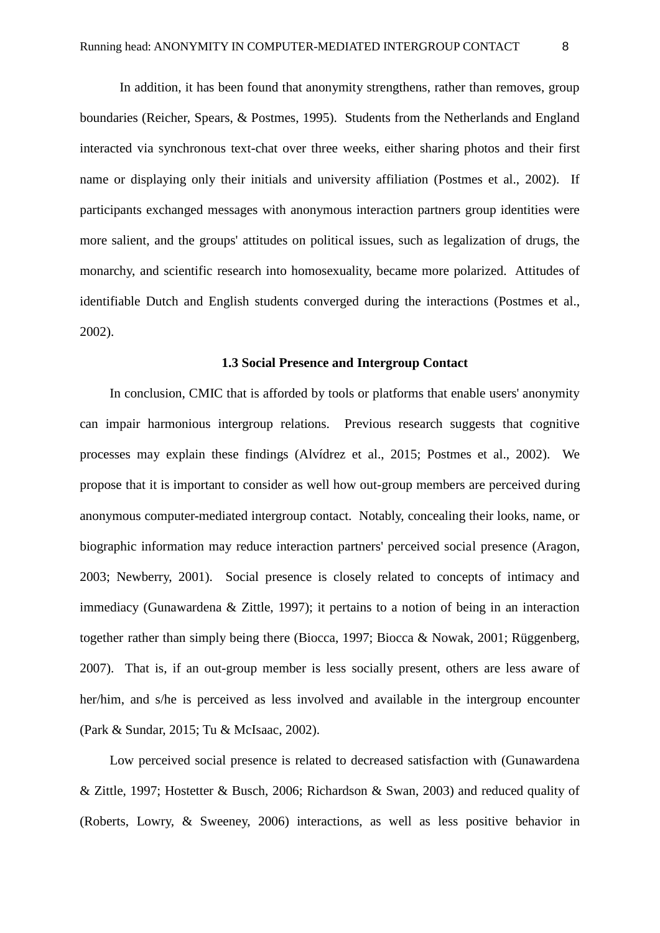In addition, it has been found that anonymity strengthens, rather than removes, group boundaries (Reicher, Spears, & Postmes, 1995). Students from the Netherlands and England interacted via synchronous text-chat over three weeks, either sharing photos and their first name or displaying only their initials and university affiliation (Postmes et al., 2002). If participants exchanged messages with anonymous interaction partners group identities were more salient, and the groups' attitudes on political issues, such as legalization of drugs, the monarchy, and scientific research into homosexuality, became more polarized. Attitudes of identifiable Dutch and English students converged during the interactions (Postmes et al., 2002).

#### **1.3 Social Presence and Intergroup Contact**

In conclusion, CMIC that is afforded by tools or platforms that enable users' anonymity can impair harmonious intergroup relations. Previous research suggests that cognitive processes may explain these findings (Alvídrez et al., 2015; Postmes et al., 2002). We propose that it is important to consider as well how out-group members are perceived during anonymous computer-mediated intergroup contact. Notably, concealing their looks, name, or biographic information may reduce interaction partners' perceived social presence (Aragon, 2003; Newberry, 2001). Social presence is closely related to concepts of intimacy and immediacy (Gunawardena & Zittle, 1997); it pertains to a notion of being in an interaction together rather than simply being there (Biocca, 1997; Biocca & Nowak, 2001; Rüggenberg, 2007). That is, if an out-group member is less socially present, others are less aware of her/him, and s/he is perceived as less involved and available in the intergroup encounter (Park & Sundar, 2015; Tu & McIsaac, 2002).

Low perceived social presence is related to decreased satisfaction with (Gunawardena & Zittle, 1997; Hostetter & Busch, 2006; Richardson & Swan, 2003) and reduced quality of (Roberts, Lowry, & Sweeney, 2006) interactions, as well as less positive behavior in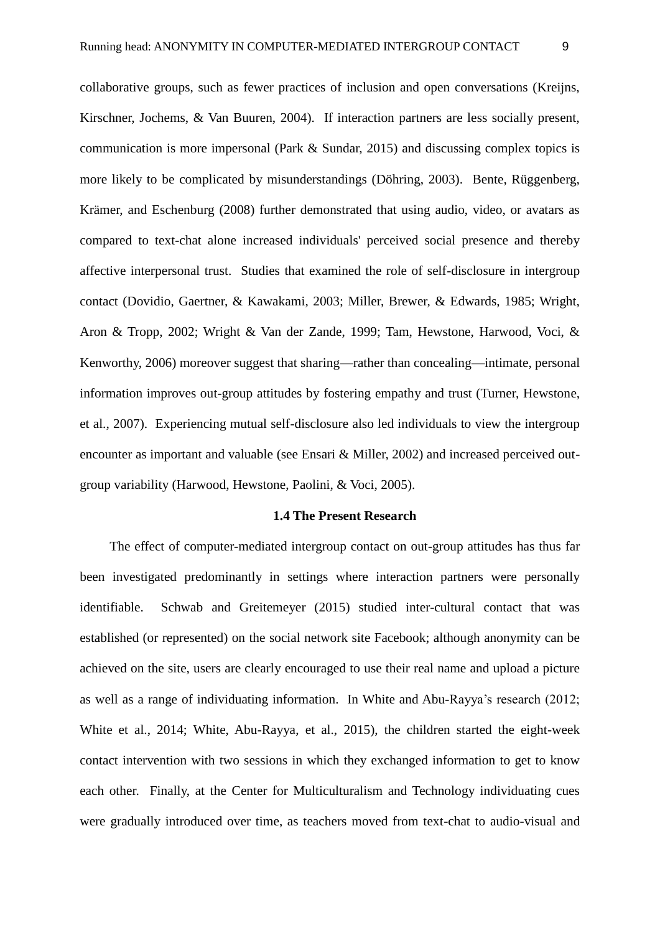Kirschner, Jochems, & Van Buuren, 2004). If interaction partners are less socially present, communication is more impersonal (Park & Sundar, 2015) and discussing complex topics is more likely to be complicated by misunderstandings (Döhring, 2003). Bente, Rüggenberg, Krämer, and Eschenburg (2008) further demonstrated that using audio, video, or avatars as compared to text-chat alone increased individuals' perceived social presence and thereby affective interpersonal trust. Studies that examined the role of self-disclosure in intergroup contact (Dovidio, Gaertner, & Kawakami, 2003; Miller, Brewer, & Edwards, 1985; Wright, Aron & Tropp, 2002; Wright & Van der Zande, 1999; Tam, Hewstone, Harwood, Voci, & Kenworthy, 2006) moreover suggest that sharing—rather than concealing—intimate, personal information improves out-group attitudes by fostering empathy and trust (Turner, Hewstone, et al., 2007). Experiencing mutual self-disclosure also led individuals to view the intergroup encounter as important and valuable (see Ensari & Miller, 2002) and increased perceived outgroup variability (Harwood, Hewstone, Paolini, & Voci, 2005).

#### **1.4 The Present Research**

The effect of computer-mediated intergroup contact on out-group attitudes has thus far been investigated predominantly in settings where interaction partners were personally identifiable. Schwab and Greitemeyer (2015) studied inter-cultural contact that was established (or represented) on the social network site Facebook; although anonymity can be achieved on the site, users are clearly encouraged to use their real name and upload a picture as well as a range of individuating information. In White and Abu-Rayya's research (2012; White et al., 2014; White, Abu-Rayya, et al., 2015), the children started the eight-week contact intervention with two sessions in which they exchanged information to get to know each other. Finally, at the Center for Multiculturalism and Technology individuating cues were gradually introduced over time, as teachers moved from text-chat to audio-visual and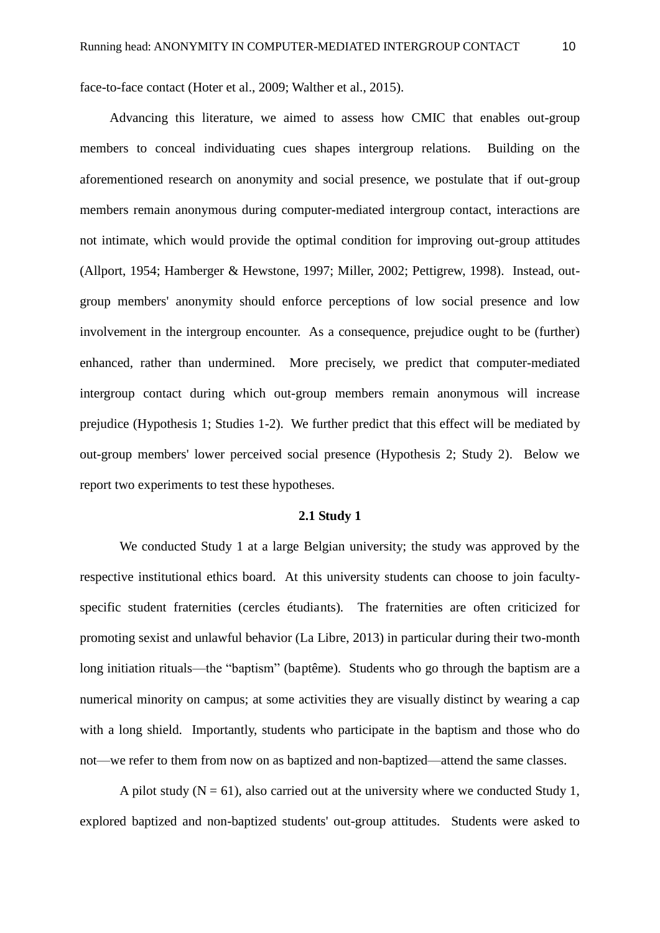face-to-face contact (Hoter et al., 2009; Walther et al., 2015).

Advancing this literature, we aimed to assess how CMIC that enables out-group members to conceal individuating cues shapes intergroup relations. Building on the aforementioned research on anonymity and social presence, we postulate that if out-group members remain anonymous during computer-mediated intergroup contact, interactions are not intimate, which would provide the optimal condition for improving out-group attitudes (Allport, 1954; Hamberger & Hewstone, 1997; Miller, 2002; Pettigrew, 1998). Instead, outgroup members' anonymity should enforce perceptions of low social presence and low involvement in the intergroup encounter. As a consequence, prejudice ought to be (further) enhanced, rather than undermined. More precisely, we predict that computer-mediated intergroup contact during which out-group members remain anonymous will increase prejudice (Hypothesis 1; Studies 1-2). We further predict that this effect will be mediated by out-group members' lower perceived social presence (Hypothesis 2; Study 2). Below we report two experiments to test these hypotheses.

#### **2.1 Study 1**

We conducted Study 1 at a large Belgian university; the study was approved by the respective institutional ethics board. At this university students can choose to join facultyspecific student fraternities (cercles étudiants). The fraternities are often criticized for promoting sexist and unlawful behavior (La Libre, 2013) in particular during their two-month long initiation rituals—the "baptism" (baptême). Students who go through the baptism are a numerical minority on campus; at some activities they are visually distinct by wearing a cap with a long shield. Importantly, students who participate in the baptism and those who do not—we refer to them from now on as baptized and non-baptized—attend the same classes.

A pilot study ( $N = 61$ ), also carried out at the university where we conducted Study 1, explored baptized and non-baptized students' out-group attitudes. Students were asked to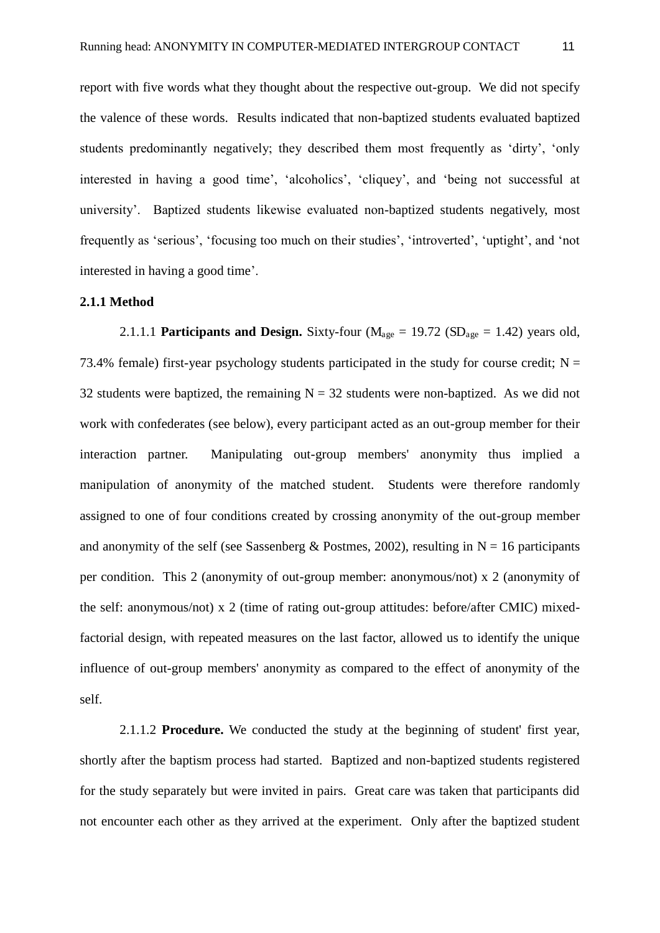report with five words what they thought about the respective out-group. We did not specify the valence of these words. Results indicated that non-baptized students evaluated baptized students predominantly negatively; they described them most frequently as 'dirty', 'only interested in having a good time', 'alcoholics', 'cliquey', and 'being not successful at university'. Baptized students likewise evaluated non-baptized students negatively, most frequently as 'serious', 'focusing too much on their studies', 'introverted', 'uptight', and 'not interested in having a good time'.

#### **2.1.1 Method**

2.1.1.1 **Participants and Design.** Sixty-four ( $M_{\text{age}} = 19.72$  ( $SD_{\text{age}} = 1.42$ ) years old, 73.4% female) first-year psychology students participated in the study for course credit;  $N =$ 32 students were baptized, the remaining  $N = 32$  students were non-baptized. As we did not work with confederates (see below), every participant acted as an out-group member for their interaction partner. Manipulating out-group members' anonymity thus implied a manipulation of anonymity of the matched student. Students were therefore randomly assigned to one of four conditions created by crossing anonymity of the out-group member and anonymity of the self (see Sassenberg & Postmes, 2002), resulting in  $N = 16$  participants per condition. This 2 (anonymity of out-group member: anonymous/not) x 2 (anonymity of the self: anonymous/not) x 2 (time of rating out-group attitudes: before/after CMIC) mixedfactorial design, with repeated measures on the last factor, allowed us to identify the unique influence of out-group members' anonymity as compared to the effect of anonymity of the self.

 2.1.1.2 **Procedure.** We conducted the study at the beginning of student' first year, shortly after the baptism process had started. Baptized and non-baptized students registered for the study separately but were invited in pairs. Great care was taken that participants did not encounter each other as they arrived at the experiment. Only after the baptized student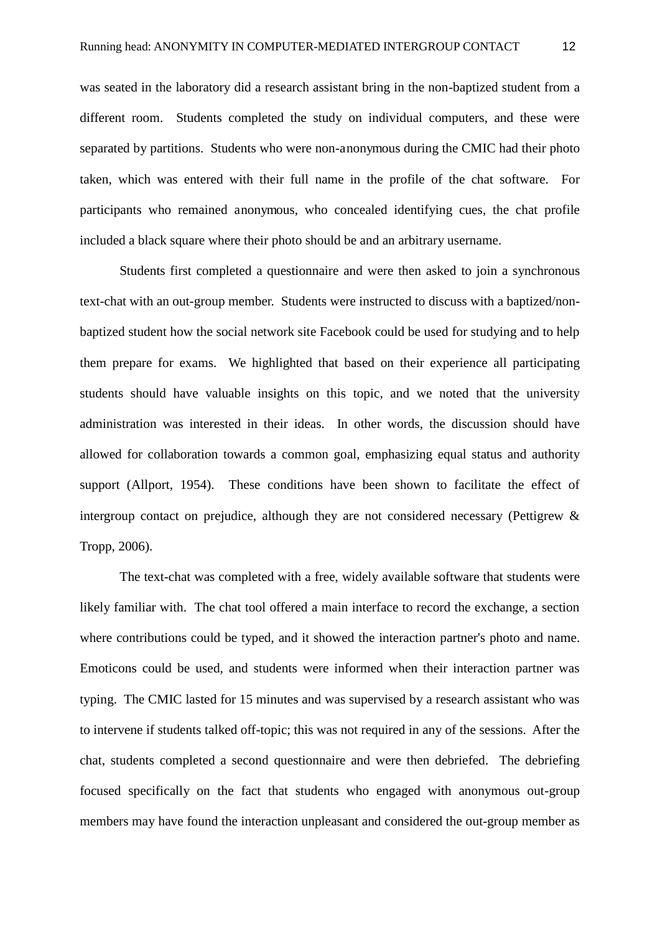was seated in the laboratory did a research assistant bring in the non-baptized student from a different room. Students completed the study on individual computers, and these were separated by partitions. Students who were non-anonymous during the CMIC had their photo taken, which was entered with their full name in the profile of the chat software. For participants who remained anonymous, who concealed identifying cues, the chat profile included a black square where their photo should be and an arbitrary username.

 Students first completed a questionnaire and were then asked to join a synchronous text-chat with an out-group member. Students were instructed to discuss with a baptized/nonbaptized student how the social network site Facebook could be used for studying and to help them prepare for exams. We highlighted that based on their experience all participating students should have valuable insights on this topic, and we noted that the university administration was interested in their ideas. In other words, the discussion should have allowed for collaboration towards a common goal, emphasizing equal status and authority support (Allport, 1954). These conditions have been shown to facilitate the effect of intergroup contact on prejudice, although they are not considered necessary (Pettigrew & Tropp, 2006).

 The text-chat was completed with a free, widely available software that students were likely familiar with. The chat tool offered a main interface to record the exchange, a section where contributions could be typed, and it showed the interaction partner's photo and name. Emoticons could be used, and students were informed when their interaction partner was typing. The CMIC lasted for 15 minutes and was supervised by a research assistant who was to intervene if students talked off-topic; this was not required in any of the sessions. After the chat, students completed a second questionnaire and were then debriefed. The debriefing focused specifically on the fact that students who engaged with anonymous out-group members may have found the interaction unpleasant and considered the out-group member as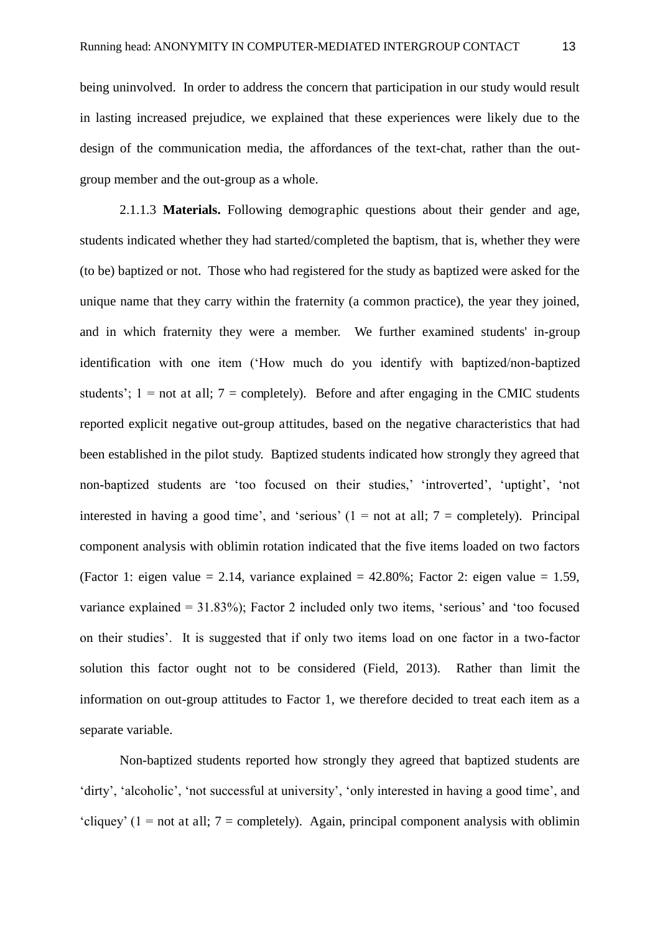being uninvolved. In order to address the concern that participation in our study would result in lasting increased prejudice, we explained that these experiences were likely due to the design of the communication media, the affordances of the text-chat, rather than the outgroup member and the out-group as a whole.

 2.1.1.3 **Materials.** Following demographic questions about their gender and age, students indicated whether they had started/completed the baptism, that is, whether they were (to be) baptized or not. Those who had registered for the study as baptized were asked for the unique name that they carry within the fraternity (a common practice), the year they joined, and in which fraternity they were a member. We further examined students' in-group identification with one item ('How much do you identify with baptized/non-baptized students';  $1 =$  not at all;  $7 =$  completely). Before and after engaging in the CMIC students reported explicit negative out-group attitudes, based on the negative characteristics that had been established in the pilot study. Baptized students indicated how strongly they agreed that non-baptized students are 'too focused on their studies,' 'introverted', 'uptight', 'not interested in having a good time', and 'serious'  $(1 = not at all; 7 = completely)$ . Principal component analysis with oblimin rotation indicated that the five items loaded on two factors (Factor 1: eigen value = 2.14, variance explained =  $42.80\%$ ; Factor 2: eigen value = 1.59, variance explained = 31.83%); Factor 2 included only two items, 'serious' and 'too focused on their studies'. It is suggested that if only two items load on one factor in a two-factor solution this factor ought not to be considered (Field, 2013). Rather than limit the information on out-group attitudes to Factor 1, we therefore decided to treat each item as a separate variable.

 Non-baptized students reported how strongly they agreed that baptized students are 'dirty', 'alcoholic', 'not successful at university', 'only interested in having a good time', and 'cliquey' (1 = not at all; 7 = completely). Again, principal component analysis with oblimin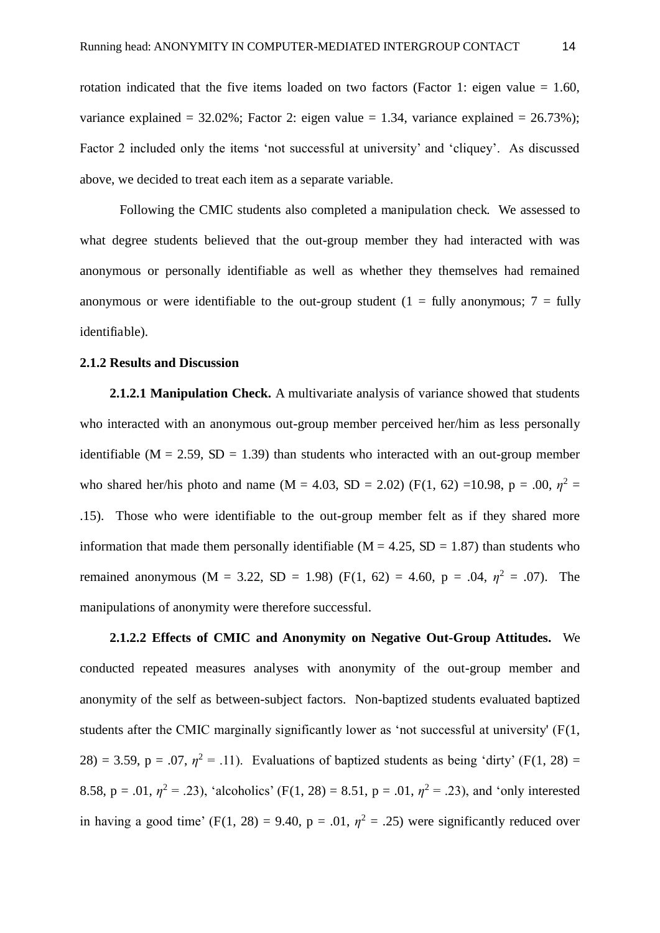rotation indicated that the five items loaded on two factors (Factor 1: eigen value  $= 1.60$ , variance explained =  $32.02\%$ ; Factor 2: eigen value = 1.34, variance explained =  $26.73\%$ ); Factor 2 included only the items 'not successful at university' and 'cliquey'. As discussed above, we decided to treat each item as a separate variable.

 Following the CMIC students also completed a manipulation check. We assessed to what degree students believed that the out-group member they had interacted with was anonymous or personally identifiable as well as whether they themselves had remained anonymous or were identifiable to the out-group student (1 = fully anonymous; 7 = fully identifiable).

#### **2.1.2 Results and Discussion**

**2.1.2.1 Manipulation Check.** A multivariate analysis of variance showed that students who interacted with an anonymous out-group member perceived her/him as less personally identifiable ( $M = 2.59$ ,  $SD = 1.39$ ) than students who interacted with an out-group member who shared her/his photo and name (M = 4.03, SD = 2.02) (F(1, 62) =10.98, p = .00,  $\eta^2$  = .15). Those who were identifiable to the out-group member felt as if they shared more information that made them personally identifiable ( $M = 4.25$ ,  $SD = 1.87$ ) than students who remained anonymous (M = 3.22, SD = 1.98) (F(1, 62) = 4.60, p = .04,  $\eta^2$  = .07). The manipulations of anonymity were therefore successful.

**2.1.2.2 Effects of CMIC and Anonymity on Negative Out-Group Attitudes.** We conducted repeated measures analyses with anonymity of the out-group member and anonymity of the self as between-subject factors. Non-baptized students evaluated baptized students after the CMIC marginally significantly lower as 'not successful at university' (F(1, 28) = 3.59, p = .07,  $\eta^2$  = .11). Evaluations of baptized students as being 'dirty' (F(1, 28) = 8.58,  $p = .01$ ,  $\eta^2 = .23$ ), 'alcoholics' (F(1, 28) = 8.51,  $p = .01$ ,  $\eta^2 = .23$ ), and 'only interested in having a good time' (F(1, 28) = 9.40,  $p = .01$ ,  $\eta^2 = .25$ ) were significantly reduced over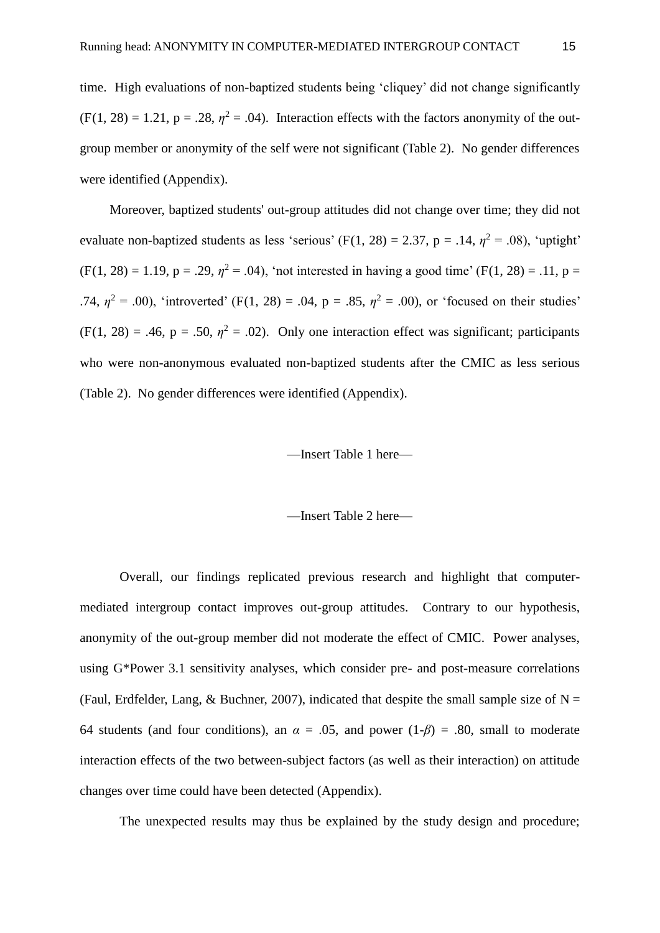time. High evaluations of non-baptized students being 'cliquey' did not change significantly  $(F(1, 28) = 1.21, p = .28, \eta^2 = .04)$ . Interaction effects with the factors anonymity of the outgroup member or anonymity of the self were not significant (Table 2). No gender differences were identified (Appendix).

Moreover, baptized students' out-group attitudes did not change over time; they did not evaluate non-baptized students as less 'serious' (F(1, 28) = 2.37, p = .14,  $\eta^2$  = .08), 'uptight'  $(F(1, 28) = 1.19, p = .29, \eta^2 = .04)$ , 'not interested in having a good time'  $(F(1, 28) = .11, p = .04)$ .74,  $\eta^2 = .00$ ), 'introverted' (F(1, 28) = .04, p = .85,  $\eta^2 = .00$ ), or 'focused on their studies'  $(F(1, 28) = .46, p = .50, \eta^2 = .02)$ . Only one interaction effect was significant; participants who were non-anonymous evaluated non-baptized students after the CMIC as less serious (Table 2). No gender differences were identified (Appendix).

#### —Insert Table 1 here—

—Insert Table 2 here—

Overall, our findings replicated previous research and highlight that computermediated intergroup contact improves out-group attitudes. Contrary to our hypothesis, anonymity of the out-group member did not moderate the effect of CMIC. Power analyses, using G\*Power 3.1 sensitivity analyses, which consider pre- and post-measure correlations (Faul, Erdfelder, Lang, & Buchner, 2007), indicated that despite the small sample size of  $N =$ 64 students (and four conditions), an  $\alpha = .05$ , and power  $(1-\beta) = .80$ , small to moderate interaction effects of the two between-subject factors (as well as their interaction) on attitude changes over time could have been detected (Appendix).

The unexpected results may thus be explained by the study design and procedure;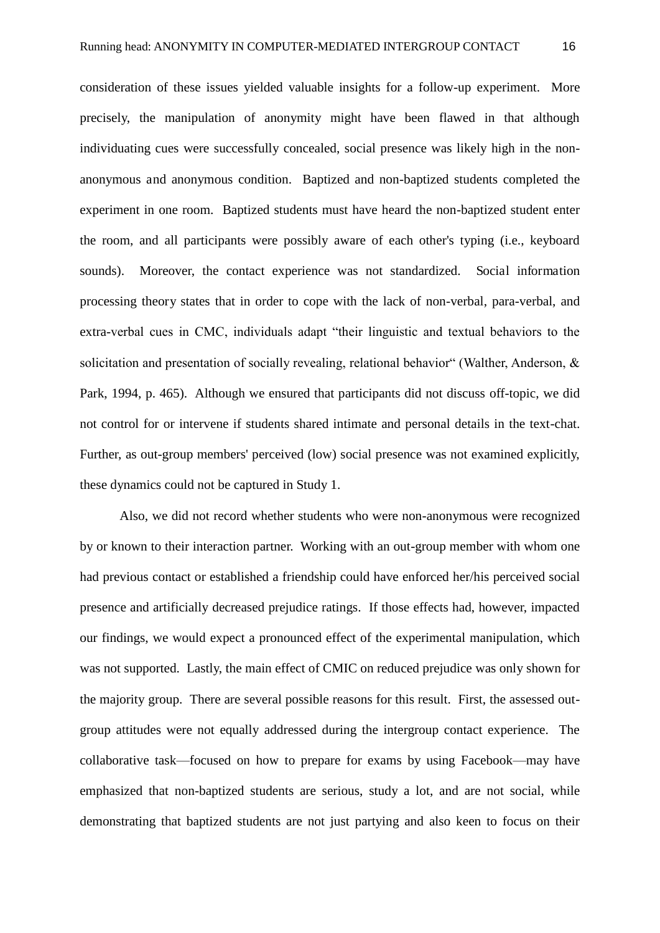consideration of these issues yielded valuable insights for a follow-up experiment. More precisely, the manipulation of anonymity might have been flawed in that although individuating cues were successfully concealed, social presence was likely high in the nonanonymous and anonymous condition. Baptized and non-baptized students completed the experiment in one room. Baptized students must have heard the non-baptized student enter the room, and all participants were possibly aware of each other's typing (i.e., keyboard sounds). Moreover, the contact experience was not standardized. Social information processing theory states that in order to cope with the lack of non-verbal, para-verbal, and extra-verbal cues in CMC, individuals adapt "their linguistic and textual behaviors to the solicitation and presentation of socially revealing, relational behavior" (Walther, Anderson, & Park, 1994, p. 465). Although we ensured that participants did not discuss off-topic, we did not control for or intervene if students shared intimate and personal details in the text-chat. Further, as out-group members' perceived (low) social presence was not examined explicitly, these dynamics could not be captured in Study 1.

Also, we did not record whether students who were non-anonymous were recognized by or known to their interaction partner. Working with an out-group member with whom one had previous contact or established a friendship could have enforced her/his perceived social presence and artificially decreased prejudice ratings. If those effects had, however, impacted our findings, we would expect a pronounced effect of the experimental manipulation, which was not supported. Lastly, the main effect of CMIC on reduced prejudice was only shown for the majority group. There are several possible reasons for this result. First, the assessed outgroup attitudes were not equally addressed during the intergroup contact experience. The collaborative task—focused on how to prepare for exams by using Facebook—may have emphasized that non-baptized students are serious, study a lot, and are not social, while demonstrating that baptized students are not just partying and also keen to focus on their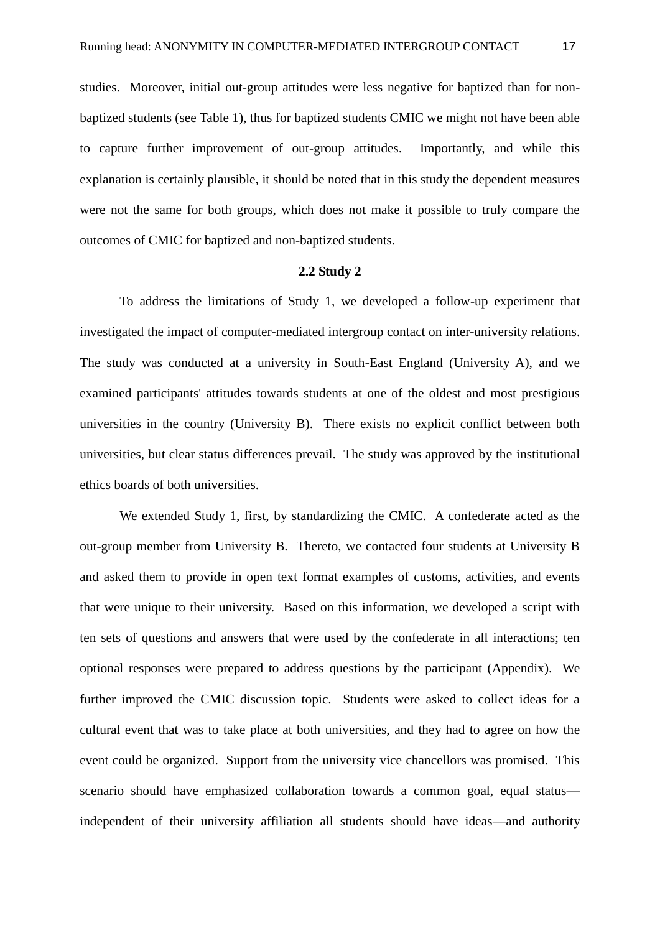studies. Moreover, initial out-group attitudes were less negative for baptized than for nonbaptized students (see Table 1), thus for baptized students CMIC we might not have been able to capture further improvement of out-group attitudes. Importantly, and while this explanation is certainly plausible, it should be noted that in this study the dependent measures were not the same for both groups, which does not make it possible to truly compare the outcomes of CMIC for baptized and non-baptized students.

#### **2.2 Study 2**

 To address the limitations of Study 1, we developed a follow-up experiment that investigated the impact of computer-mediated intergroup contact on inter-university relations. The study was conducted at a university in South-East England (University A), and we examined participants' attitudes towards students at one of the oldest and most prestigious universities in the country (University B). There exists no explicit conflict between both universities, but clear status differences prevail. The study was approved by the institutional ethics boards of both universities.

 We extended Study 1, first, by standardizing the CMIC. A confederate acted as the out-group member from University B. Thereto, we contacted four students at University B and asked them to provide in open text format examples of customs, activities, and events that were unique to their university. Based on this information, we developed a script with ten sets of questions and answers that were used by the confederate in all interactions; ten optional responses were prepared to address questions by the participant (Appendix). We further improved the CMIC discussion topic. Students were asked to collect ideas for a cultural event that was to take place at both universities, and they had to agree on how the event could be organized. Support from the university vice chancellors was promised. This scenario should have emphasized collaboration towards a common goal, equal status independent of their university affiliation all students should have ideas—and authority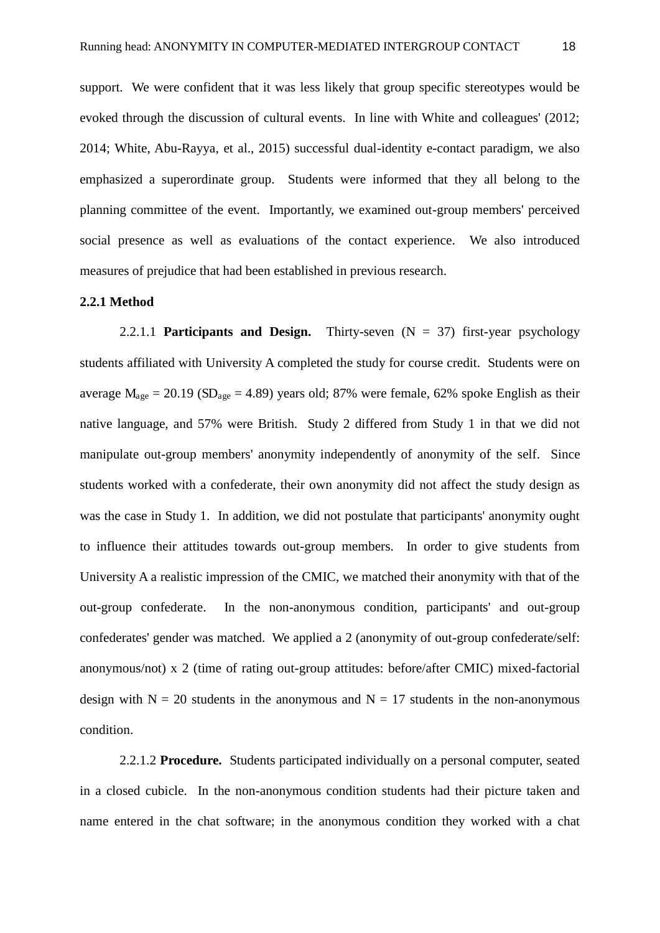support. We were confident that it was less likely that group specific stereotypes would be evoked through the discussion of cultural events. In line with White and colleagues' (2012; 2014; White, Abu-Rayya, et al., 2015) successful dual-identity e-contact paradigm, we also emphasized a superordinate group. Students were informed that they all belong to the planning committee of the event. Importantly, we examined out-group members' perceived social presence as well as evaluations of the contact experience. We also introduced measures of prejudice that had been established in previous research.

#### **2.2.1 Method**

 2.2.1.1 **Participants and Design.** Thirty-seven (N = 37) first-year psychology students affiliated with University A completed the study for course credit. Students were on average  $M_{\text{age}} = 20.19$  (SD<sub>age</sub> = 4.89) years old; 87% were female, 62% spoke English as their native language, and 57% were British. Study 2 differed from Study 1 in that we did not manipulate out-group members' anonymity independently of anonymity of the self. Since students worked with a confederate, their own anonymity did not affect the study design as was the case in Study 1. In addition, we did not postulate that participants' anonymity ought to influence their attitudes towards out-group members. In order to give students from University A a realistic impression of the CMIC, we matched their anonymity with that of the out-group confederate. In the non-anonymous condition, participants' and out-group confederates' gender was matched. We applied a 2 (anonymity of out-group confederate/self: anonymous/not) x 2 (time of rating out-group attitudes: before/after CMIC) mixed-factorial design with  $N = 20$  students in the anonymous and  $N = 17$  students in the non-anonymous condition.

2.2.1.2 **Procedure.** Students participated individually on a personal computer, seated in a closed cubicle. In the non-anonymous condition students had their picture taken and name entered in the chat software; in the anonymous condition they worked with a chat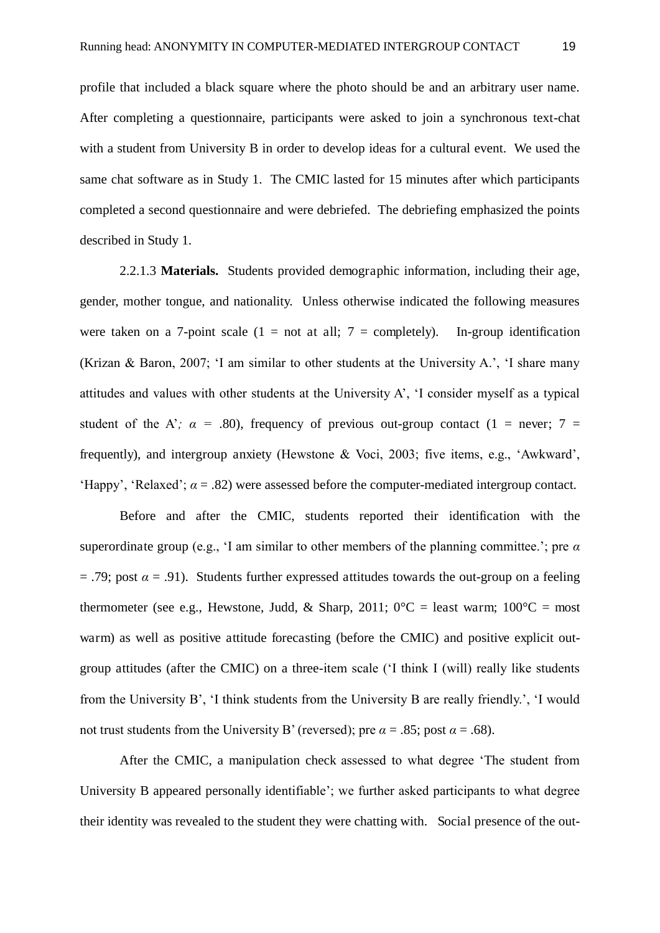profile that included a black square where the photo should be and an arbitrary user name. After completing a questionnaire, participants were asked to join a synchronous text-chat with a student from University B in order to develop ideas for a cultural event. We used the same chat software as in Study 1. The CMIC lasted for 15 minutes after which participants completed a second questionnaire and were debriefed. The debriefing emphasized the points described in Study 1.

 2.2.1.3 **Materials.** Students provided demographic information, including their age, gender, mother tongue, and nationality. Unless otherwise indicated the following measures were taken on a 7-point scale  $(1 = not at all; 7 = completely)$ . In-group identification (Krizan & Baron, 2007; 'I am similar to other students at the University A.', 'I share many attitudes and values with other students at the University A', 'I consider myself as a typical student of the A';  $\alpha$  = .80), frequency of previous out-group contact (1 = never; 7 = frequently), and intergroup anxiety (Hewstone & Voci, 2003; five items, e.g., 'Awkward', 'Happy', 'Relaxed';  $\alpha = .82$ ) were assessed before the computer-mediated intergroup contact.

 Before and after the CMIC, students reported their identification with the superordinate group (e.g., 'I am similar to other members of the planning committee.'; pre  $\alpha$  $= .79$ ; post  $\alpha = .91$ ). Students further expressed attitudes towards the out-group on a feeling thermometer (see e.g., Hewstone, Judd, & Sharp, 2011;  $0^{\circ}C =$  least warm;  $100^{\circ}C =$  most warm) as well as positive attitude forecasting (before the CMIC) and positive explicit outgroup attitudes (after the CMIC) on a three-item scale ('I think I (will) really like students from the University B', 'I think students from the University B are really friendly.', 'I would not trust students from the University B' (reversed); pre  $\alpha = .85$ ; post  $\alpha = .68$ ).

 After the CMIC, a manipulation check assessed to what degree 'The student from University B appeared personally identifiable'; we further asked participants to what degree their identity was revealed to the student they were chatting with. Social presence of the out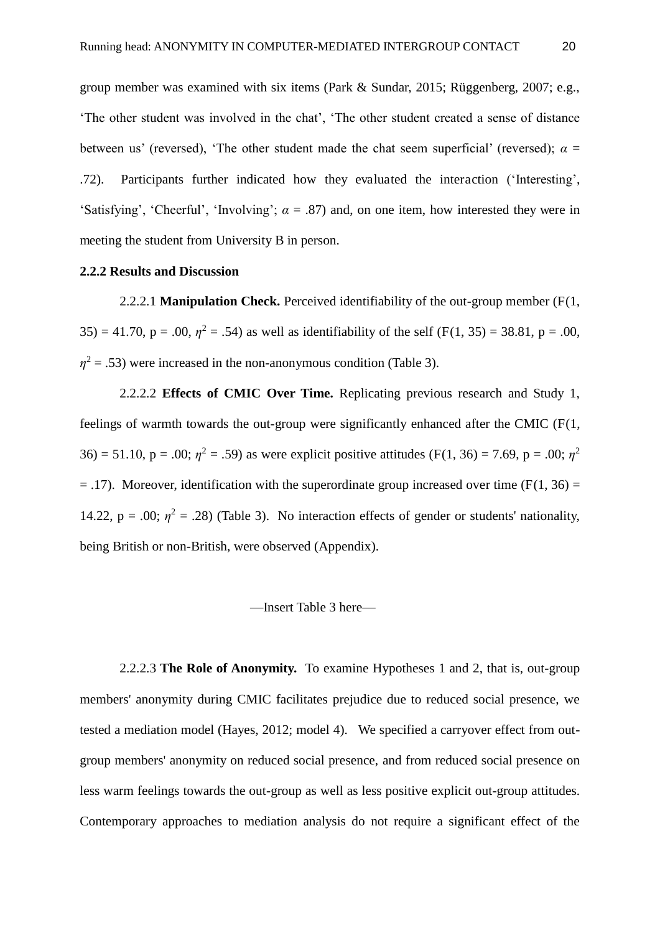group member was examined with six items (Park & Sundar, 2015; Rüggenberg, 2007; e.g., 'The other student was involved in the chat', 'The other student created a sense of distance between us' (reversed), 'The other student made the chat seem superficial' (reversed);  $\alpha =$ .72). Participants further indicated how they evaluated the interaction ('Interesting', 'Satisfying', 'Cheerful', 'Involving';  $\alpha = .87$ ) and, on one item, how interested they were in meeting the student from University B in person.

#### **2.2.2 Results and Discussion**

 2.2.2.1 **Manipulation Check.** Perceived identifiability of the out-group member (F(1, 35) = 41.70, p = .00,  $\eta^2$  = .54) as well as identifiability of the self (F(1, 35) = 38.81, p = .00,  $\eta^2$  = .53) were increased in the non-anonymous condition (Table 3).

 2.2.2.2 **Effects of CMIC Over Time.** Replicating previous research and Study 1, feelings of warmth towards the out-group were significantly enhanced after the CMIC (F(1, 36) = 51.10, p = .00;  $\eta^2$  = .59) as were explicit positive attitudes (F(1, 36) = 7.69, p = .00;  $\eta^2$  $=$  .17). Moreover, identification with the superordinate group increased over time (F(1, 36) = 14.22,  $p = .00$ ;  $\eta^2 = .28$ ) (Table 3). No interaction effects of gender or students' nationality, being British or non-British, were observed (Appendix).

#### —Insert Table 3 here—

2.2.2.3 **The Role of Anonymity.** To examine Hypotheses 1 and 2, that is, out-group members' anonymity during CMIC facilitates prejudice due to reduced social presence, we tested a mediation model (Hayes, 2012; model 4). We specified a carryover effect from outgroup members' anonymity on reduced social presence, and from reduced social presence on less warm feelings towards the out-group as well as less positive explicit out-group attitudes. Contemporary approaches to mediation analysis do not require a significant effect of the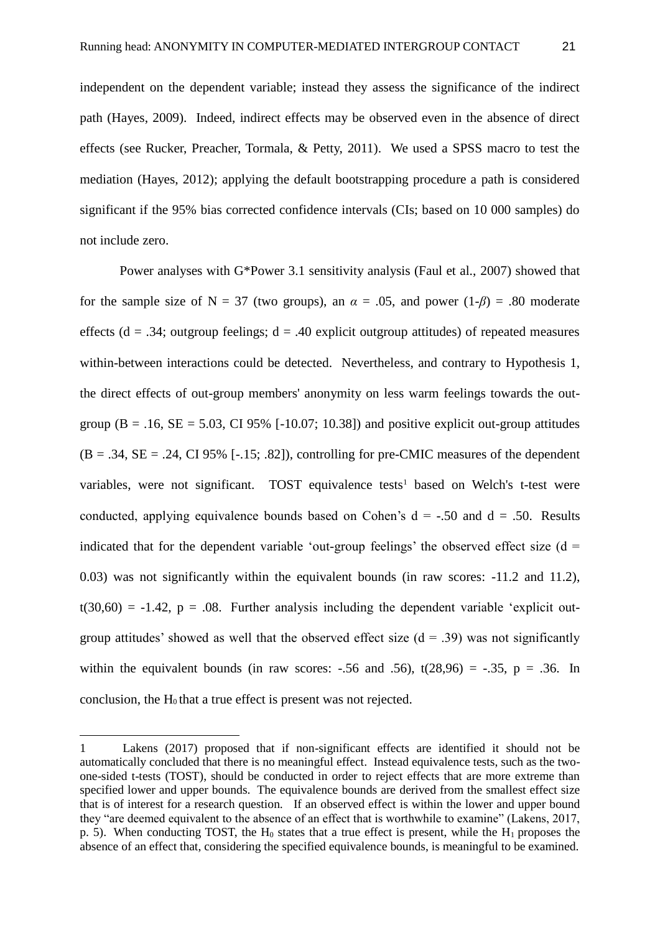independent on the dependent variable; instead they assess the significance of the indirect path (Hayes, 2009). Indeed, indirect effects may be observed even in the absence of direct effects (see Rucker, Preacher, Tormala, & Petty, 2011). We used a SPSS macro to test the mediation (Hayes, 2012); applying the default bootstrapping procedure a path is considered significant if the 95% bias corrected confidence intervals (CIs; based on 10 000 samples) do not include zero.

 Power analyses with G\*Power 3.1 sensitivity analysis (Faul et al., 2007) showed that for the sample size of  $N = 37$  (two groups), an  $\alpha = .05$ , and power  $(1-\beta) = .80$  moderate effects ( $d = .34$ ; outgroup feelings;  $d = .40$  explicit outgroup attitudes) of repeated measures within-between interactions could be detected. Nevertheless, and contrary to Hypothesis 1, the direct effects of out-group members' anonymity on less warm feelings towards the outgroup ( $B = .16$ ,  $SE = 5.03$ , CI 95% [-10.07; 10.38]) and positive explicit out-group attitudes  $(B = .34, SE = .24, CI 95\%$  [-.15; .82]), controlling for pre-CMIC measures of the dependent variables, were not significant. TOST equivalence tests<sup>1</sup> based on Welch's t-test were conducted, applying equivalence bounds based on Cohen's  $d = -0.50$  and  $d = 0.50$ . Results indicated that for the dependent variable 'out-group feelings' the observed effect size  $(d =$ 0.03) was not significantly within the equivalent bounds (in raw scores: -11.2 and 11.2),  $t(30,60) = -1.42$ ,  $p = .08$ . Further analysis including the dependent variable 'explicit outgroup attitudes' showed as well that the observed effect size  $(d = .39)$  was not significantly within the equivalent bounds (in raw scores:  $-.56$  and  $.56$ ),  $t(28,96) = -.35$ ,  $p = .36$ . In conclusion, the  $H_0$  that a true effect is present was not rejected.

-

<sup>1</sup> Lakens (2017) proposed that if non-significant effects are identified it should not be automatically concluded that there is no meaningful effect. Instead equivalence tests, such as the twoone-sided t-tests (TOST), should be conducted in order to reject effects that are more extreme than specified lower and upper bounds. The equivalence bounds are derived from the smallest effect size that is of interest for a research question. If an observed effect is within the lower and upper bound they "are deemed equivalent to the absence of an effect that is worthwhile to examine" (Lakens, 2017, p. 5). When conducting TOST, the  $H_0$  states that a true effect is present, while the  $H_1$  proposes the absence of an effect that, considering the specified equivalence bounds, is meaningful to be examined.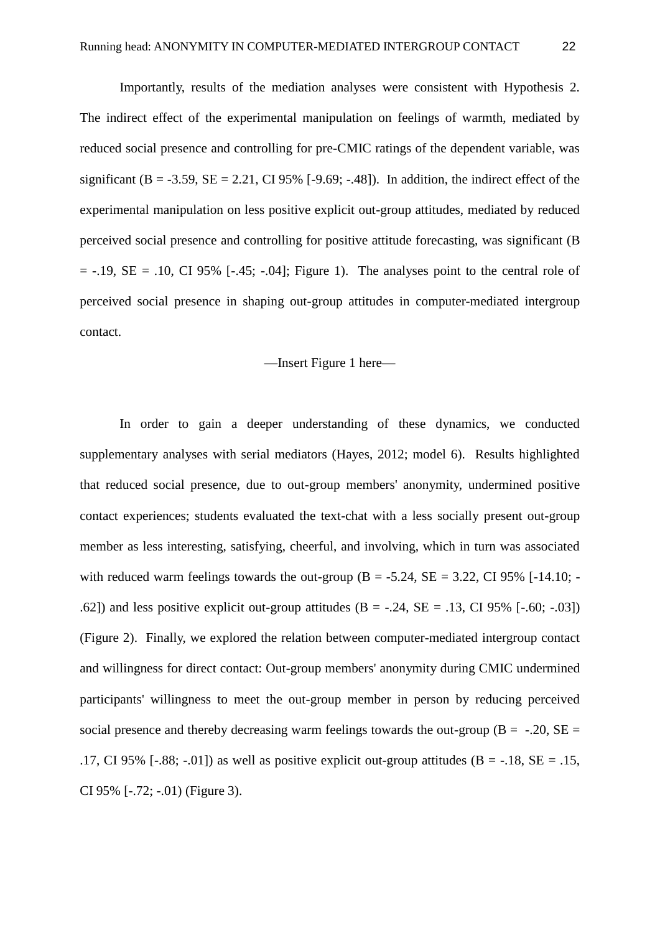Importantly, results of the mediation analyses were consistent with Hypothesis 2. The indirect effect of the experimental manipulation on feelings of warmth, mediated by reduced social presence and controlling for pre-CMIC ratings of the dependent variable, was significant (B = -3.59, SE = 2.21, CI 95% [-9.69; -.48]). In addition, the indirect effect of the experimental manipulation on less positive explicit out-group attitudes, mediated by reduced perceived social presence and controlling for positive attitude forecasting, was significant (B  $= -.19$ , SE  $= .10$ , CI 95% [ $-.45$ ;  $-.04$ ]; Figure 1). The analyses point to the central role of perceived social presence in shaping out-group attitudes in computer-mediated intergroup contact.

#### —Insert Figure 1 here—

 In order to gain a deeper understanding of these dynamics, we conducted supplementary analyses with serial mediators (Hayes, 2012; model 6). Results highlighted that reduced social presence, due to out-group members' anonymity, undermined positive contact experiences; students evaluated the text-chat with a less socially present out-group member as less interesting, satisfying, cheerful, and involving, which in turn was associated with reduced warm feelings towards the out-group  $(B = -5.24, SE = 3.22, CI 95\%$  [-14.10; -.62]) and less positive explicit out-group attitudes  $(B = -.24, SE = .13, CI 95\%$  [-.60; -.03]) (Figure 2). Finally, we explored the relation between computer-mediated intergroup contact and willingness for direct contact: Out-group members' anonymity during CMIC undermined participants' willingness to meet the out-group member in person by reducing perceived social presence and thereby decreasing warm feelings towards the out-group ( $B = -.20$ ,  $SE =$ .17, CI 95% [-.88; -.01]) as well as positive explicit out-group attitudes (B = -.18, SE = .15, CI 95% [-.72; -.01) (Figure 3).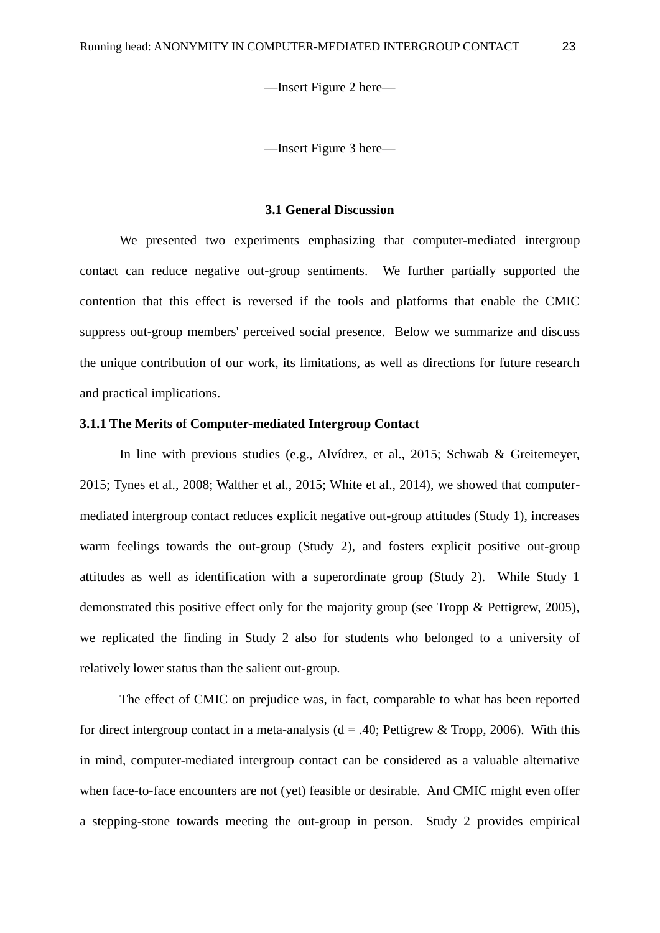—Insert Figure 2 here—

—Insert Figure 3 here—

#### **3.1 General Discussion**

We presented two experiments emphasizing that computer-mediated intergroup contact can reduce negative out-group sentiments. We further partially supported the contention that this effect is reversed if the tools and platforms that enable the CMIC suppress out-group members' perceived social presence. Below we summarize and discuss the unique contribution of our work, its limitations, as well as directions for future research and practical implications.

### **3.1.1 The Merits of Computer-mediated Intergroup Contact**

 In line with previous studies (e.g., Alvídrez, et al., 2015; Schwab & Greitemeyer, 2015; Tynes et al., 2008; Walther et al., 2015; White et al., 2014), we showed that computermediated intergroup contact reduces explicit negative out-group attitudes (Study 1), increases warm feelings towards the out-group (Study 2), and fosters explicit positive out-group attitudes as well as identification with a superordinate group (Study 2). While Study 1 demonstrated this positive effect only for the majority group (see Tropp & Pettigrew, 2005), we replicated the finding in Study 2 also for students who belonged to a university of relatively lower status than the salient out-group.

 The effect of CMIC on prejudice was, in fact, comparable to what has been reported for direct intergroup contact in a meta-analysis ( $d = .40$ ; Pettigrew & Tropp, 2006). With this in mind, computer-mediated intergroup contact can be considered as a valuable alternative when face-to-face encounters are not (yet) feasible or desirable. And CMIC might even offer a stepping-stone towards meeting the out-group in person. Study 2 provides empirical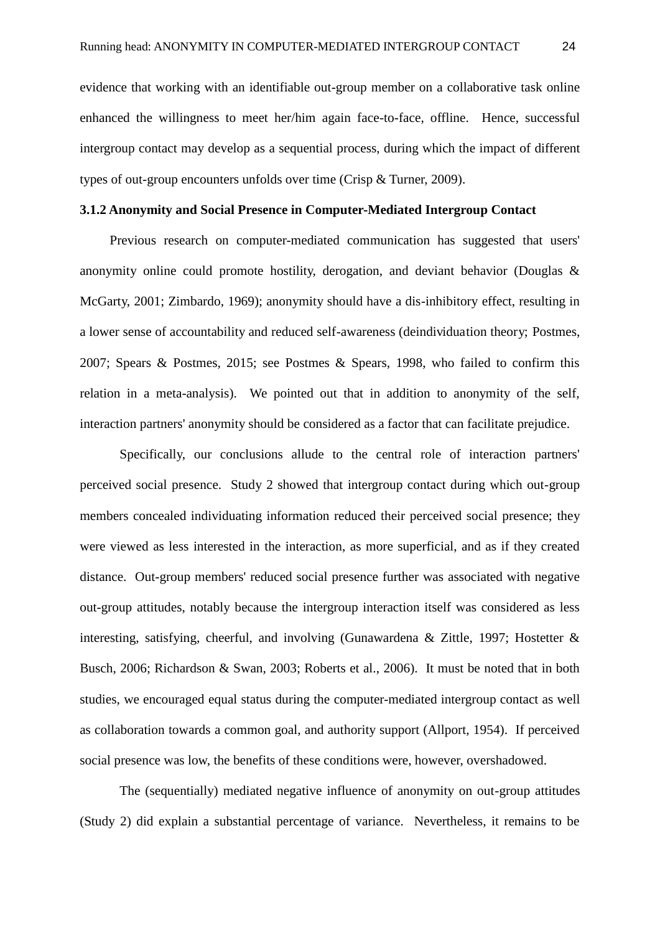evidence that working with an identifiable out-group member on a collaborative task online enhanced the willingness to meet her/him again face-to-face, offline. Hence, successful intergroup contact may develop as a sequential process, during which the impact of different types of out-group encounters unfolds over time (Crisp & Turner, 2009).

#### **3.1.2 Anonymity and Social Presence in Computer-Mediated Intergroup Contact**

Previous research on computer-mediated communication has suggested that users' anonymity online could promote hostility, derogation, and deviant behavior (Douglas & McGarty, 2001; Zimbardo, 1969); anonymity should have a dis-inhibitory effect, resulting in a lower sense of accountability and reduced self-awareness (deindividuation theory; Postmes, 2007; Spears & Postmes, 2015; see Postmes & Spears, 1998, who failed to confirm this relation in a meta-analysis). We pointed out that in addition to anonymity of the self, interaction partners' anonymity should be considered as a factor that can facilitate prejudice.

 Specifically, our conclusions allude to the central role of interaction partners' perceived social presence. Study 2 showed that intergroup contact during which out-group members concealed individuating information reduced their perceived social presence; they were viewed as less interested in the interaction, as more superficial, and as if they created distance. Out-group members' reduced social presence further was associated with negative out-group attitudes, notably because the intergroup interaction itself was considered as less interesting, satisfying, cheerful, and involving (Gunawardena & Zittle, 1997; Hostetter & Busch, 2006; Richardson & Swan, 2003; Roberts et al., 2006). It must be noted that in both studies, we encouraged equal status during the computer-mediated intergroup contact as well as collaboration towards a common goal, and authority support (Allport, 1954). If perceived social presence was low, the benefits of these conditions were, however, overshadowed.

 The (sequentially) mediated negative influence of anonymity on out-group attitudes (Study 2) did explain a substantial percentage of variance. Nevertheless, it remains to be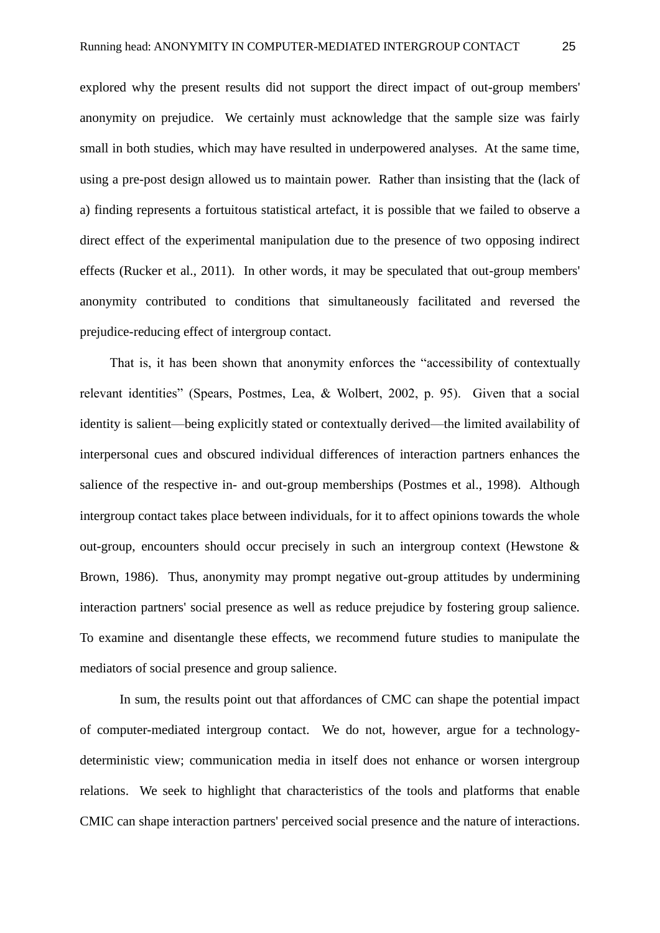explored why the present results did not support the direct impact of out-group members' anonymity on prejudice. We certainly must acknowledge that the sample size was fairly small in both studies, which may have resulted in underpowered analyses. At the same time, using a pre-post design allowed us to maintain power. Rather than insisting that the (lack of a) finding represents a fortuitous statistical artefact, it is possible that we failed to observe a direct effect of the experimental manipulation due to the presence of two opposing indirect effects (Rucker et al., 2011). In other words, it may be speculated that out-group members' anonymity contributed to conditions that simultaneously facilitated and reversed the prejudice-reducing effect of intergroup contact.

That is, it has been shown that anonymity enforces the "accessibility of contextually relevant identities" (Spears, Postmes, Lea, & Wolbert, 2002, p. 95). Given that a social identity is salient—being explicitly stated or contextually derived—the limited availability of interpersonal cues and obscured individual differences of interaction partners enhances the salience of the respective in- and out-group memberships (Postmes et al., 1998). Although intergroup contact takes place between individuals, for it to affect opinions towards the whole out-group, encounters should occur precisely in such an intergroup context (Hewstone & Brown, 1986). Thus, anonymity may prompt negative out-group attitudes by undermining interaction partners' social presence as well as reduce prejudice by fostering group salience. To examine and disentangle these effects, we recommend future studies to manipulate the mediators of social presence and group salience.

 In sum, the results point out that affordances of CMC can shape the potential impact of computer-mediated intergroup contact. We do not, however, argue for a technologydeterministic view; communication media in itself does not enhance or worsen intergroup relations. We seek to highlight that characteristics of the tools and platforms that enable CMIC can shape interaction partners' perceived social presence and the nature of interactions.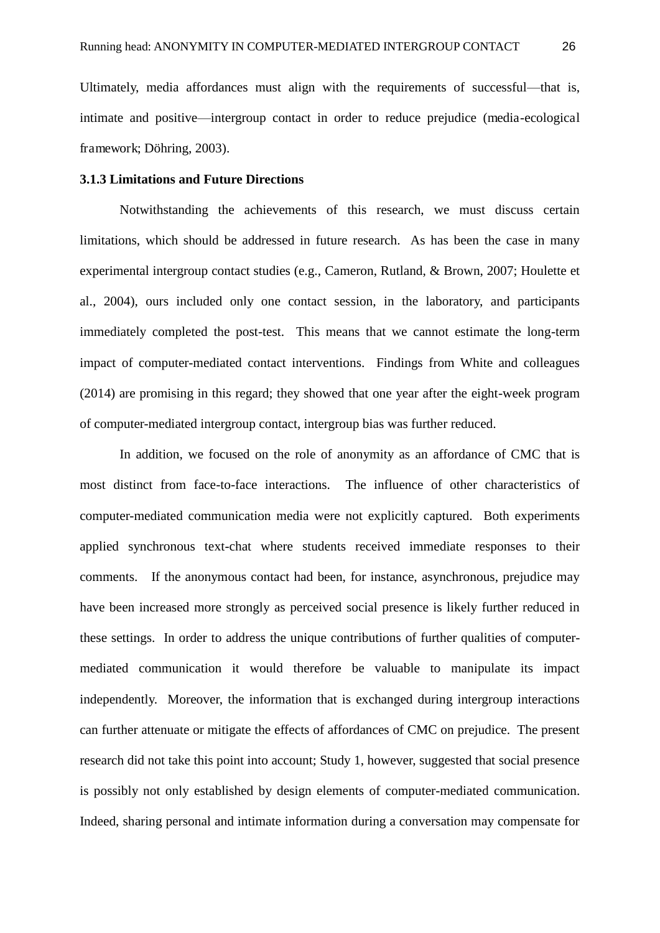Ultimately, media affordances must align with the requirements of successful—that is, intimate and positive—intergroup contact in order to reduce prejudice (media-ecological framework; Döhring, 2003).

#### **3.1.3 Limitations and Future Directions**

 Notwithstanding the achievements of this research, we must discuss certain limitations, which should be addressed in future research. As has been the case in many experimental intergroup contact studies (e.g., Cameron, Rutland, & Brown, 2007; Houlette et al., 2004), ours included only one contact session, in the laboratory, and participants immediately completed the post-test. This means that we cannot estimate the long-term impact of computer-mediated contact interventions. Findings from White and colleagues (2014) are promising in this regard; they showed that one year after the eight-week program of computer-mediated intergroup contact, intergroup bias was further reduced.

 In addition, we focused on the role of anonymity as an affordance of CMC that is most distinct from face-to-face interactions. The influence of other characteristics of computer-mediated communication media were not explicitly captured. Both experiments applied synchronous text-chat where students received immediate responses to their comments. If the anonymous contact had been, for instance, asynchronous, prejudice may have been increased more strongly as perceived social presence is likely further reduced in these settings. In order to address the unique contributions of further qualities of computermediated communication it would therefore be valuable to manipulate its impact independently. Moreover, the information that is exchanged during intergroup interactions can further attenuate or mitigate the effects of affordances of CMC on prejudice. The present research did not take this point into account; Study 1, however, suggested that social presence is possibly not only established by design elements of computer-mediated communication. Indeed, sharing personal and intimate information during a conversation may compensate for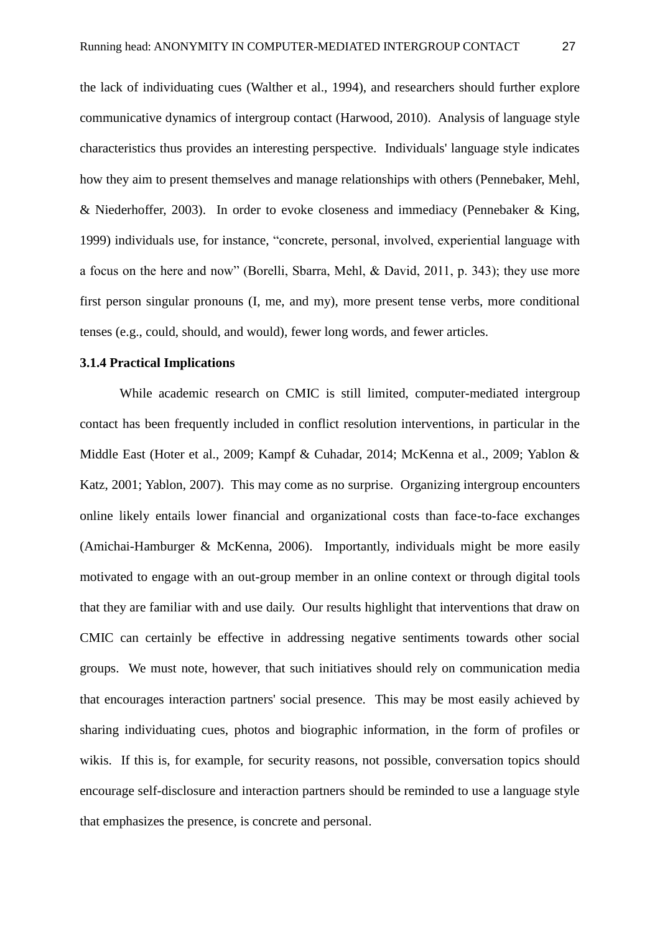the lack of individuating cues (Walther et al., 1994), and researchers should further explore communicative dynamics of intergroup contact (Harwood, 2010). Analysis of language style characteristics thus provides an interesting perspective. Individuals' language style indicates how they aim to present themselves and manage relationships with others (Pennebaker, Mehl, & Niederhoffer, 2003). In order to evoke closeness and immediacy (Pennebaker & King, 1999) individuals use, for instance, "concrete, personal, involved, experiential language with a focus on the here and now" (Borelli, Sbarra, Mehl, & David, 2011, p. 343); they use more first person singular pronouns (I, me, and my), more present tense verbs, more conditional tenses (e.g., could, should, and would), fewer long words, and fewer articles.

#### **3.1.4 Practical Implications**

While academic research on CMIC is still limited, computer-mediated intergroup contact has been frequently included in conflict resolution interventions, in particular in the Middle East (Hoter et al., 2009; Kampf & Cuhadar, 2014; McKenna et al., 2009; Yablon & Katz, 2001; Yablon, 2007). This may come as no surprise. Organizing intergroup encounters online likely entails lower financial and organizational costs than face-to-face exchanges (Amichai-Hamburger & McKenna, 2006). Importantly, individuals might be more easily motivated to engage with an out-group member in an online context or through digital tools that they are familiar with and use daily. Our results highlight that interventions that draw on CMIC can certainly be effective in addressing negative sentiments towards other social groups. We must note, however, that such initiatives should rely on communication media that encourages interaction partners' social presence. This may be most easily achieved by sharing individuating cues, photos and biographic information, in the form of profiles or wikis. If this is, for example, for security reasons, not possible, conversation topics should encourage self-disclosure and interaction partners should be reminded to use a language style that emphasizes the presence, is concrete and personal.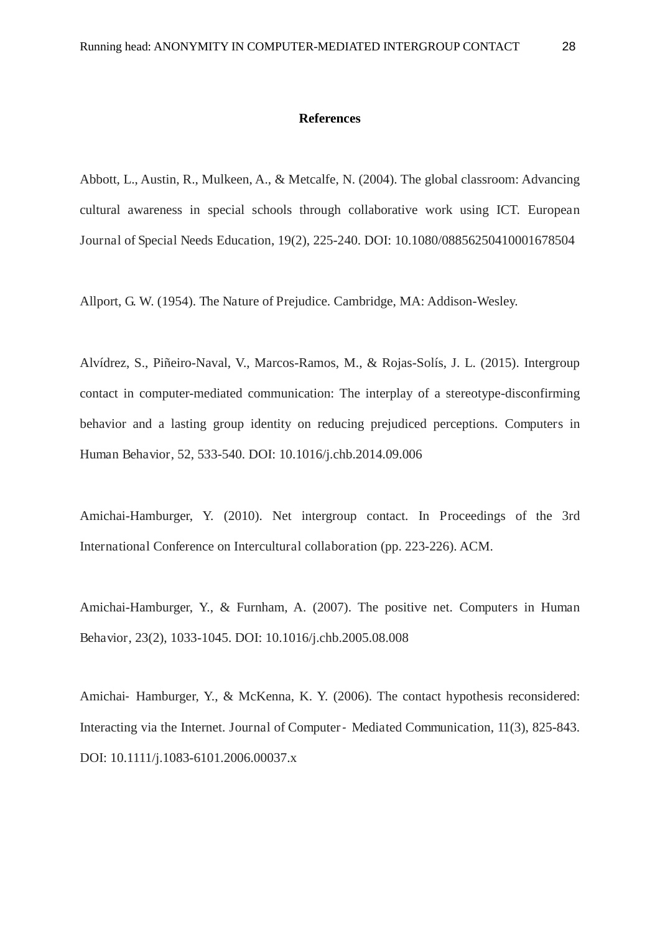#### **References**

Abbott, L., Austin, R., Mulkeen, A., & Metcalfe, N. (2004). The global classroom: Advancing cultural awareness in special schools through collaborative work using ICT. European Journal of Special Needs Education, 19(2), 225-240. DOI: 10.1080/08856250410001678504

Allport, G. W. (1954). The Nature of Prejudice. Cambridge, MA: Addison-Wesley.

Alvídrez, S., Piñeiro-Naval, V., Marcos-Ramos, M., & Rojas-Solís, J. L. (2015). Intergroup contact in computer-mediated communication: The interplay of a stereotype-disconfirming behavior and a lasting group identity on reducing prejudiced perceptions. Computers in Human Behavior, 52, 533-540. DOI: 10.1016/j.chb.2014.09.006

Amichai-Hamburger, Y. (2010). Net intergroup contact. In Proceedings of the 3rd International Conference on Intercultural collaboration (pp. 223-226). ACM.

Amichai-Hamburger, Y., & Furnham, A. (2007). The positive net. Computers in Human Behavior, 23(2), 1033-1045. DOI: 10.1016/j.chb.2005.08.008

Amichai- Hamburger, Y., & McKenna, K. Y. (2006). The contact hypothesis reconsidered: Interacting via the Internet. Journal of Computer - Mediated Communication, 11(3), 825-843. DOI: 10.1111/j.1083-6101.2006.00037.x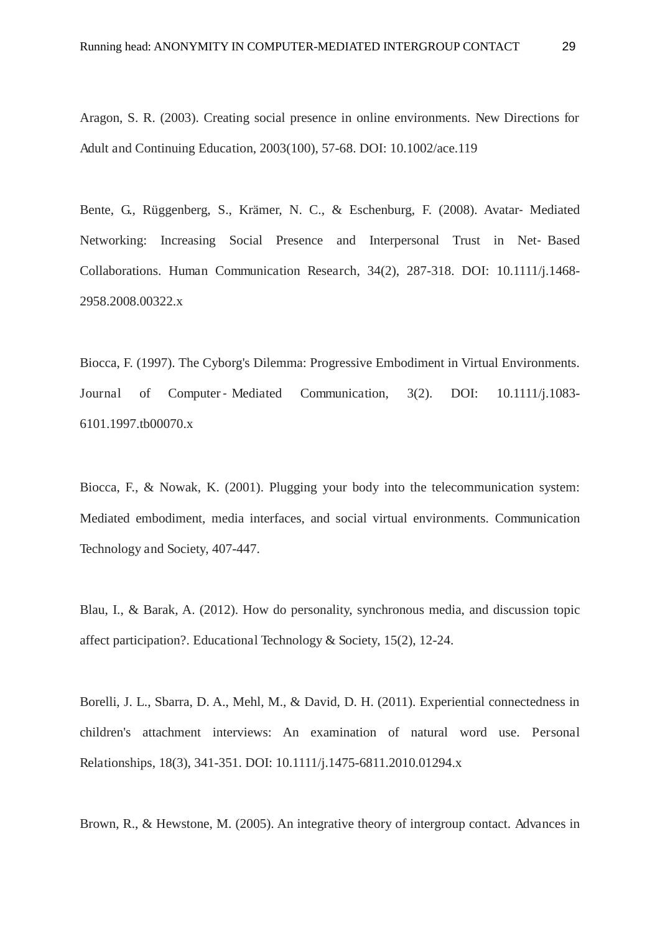Aragon, S. R. (2003). Creating social presence in online environments. New Directions for Adult and Continuing Education, 2003(100), 57-68. DOI: 10.1002/ace.119

Bente, G., Rüggenberg, S., Krämer, N. C., & Eschenburg, F. (2008). Avatar- Mediated Networking: Increasing Social Presence and Interpersonal Trust in Net-Based Collaborations. Human Communication Research, 34(2), 287-318. DOI: 10.1111/j.1468- 2958.2008.00322.x

Biocca, F. (1997). The Cyborg's Dilemma: Progressive Embodiment in Virtual Environments. Journal of Computer-Mediated Communication, 3(2). DOI: 10.1111/j.1083-6101.1997.tb00070.x

Biocca, F., & Nowak, K. (2001). Plugging your body into the telecommunication system: Mediated embodiment, media interfaces, and social virtual environments. Communication Technology and Society, 407-447.

Blau, I., & Barak, A. (2012). How do personality, synchronous media, and discussion topic affect participation?. Educational Technology & Society, 15(2), 12-24.

Borelli, J. L., Sbarra, D. A., Mehl, M., & David, D. H. (2011). Experiential connectedness in children's attachment interviews: An examination of natural word use. Personal Relationships, 18(3), 341-351. DOI: 10.1111/j.1475-6811.2010.01294.x

Brown, R., & Hewstone, M. (2005). An integrative theory of intergroup contact. Advances in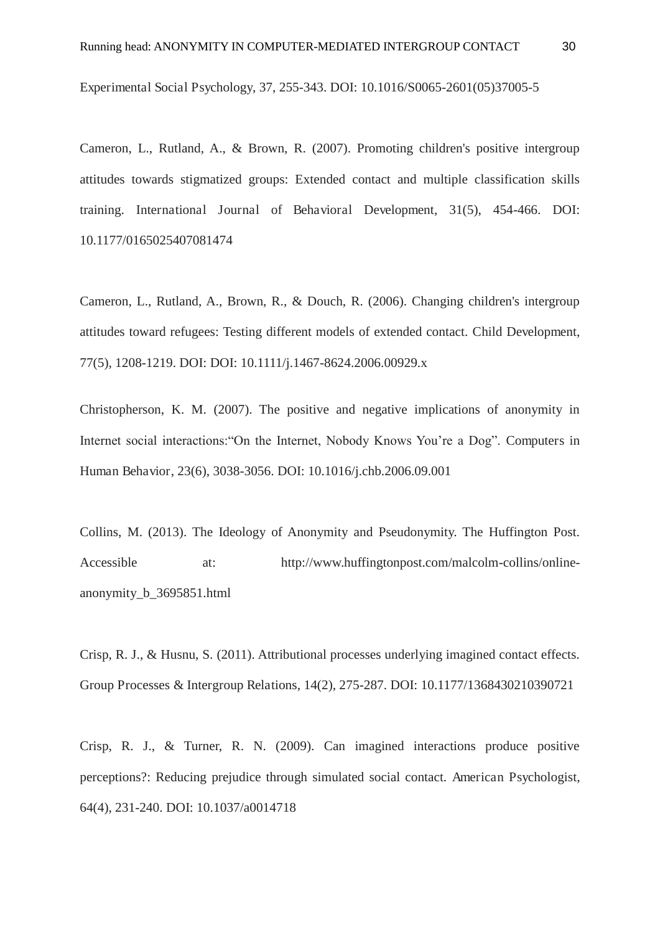Experimental Social Psychology, 37, 255-343. DOI: 10.1016/S0065-2601(05)37005-5

Cameron, L., Rutland, A., & Brown, R. (2007). Promoting children's positive intergroup attitudes towards stigmatized groups: Extended contact and multiple classification skills training. International Journal of Behavioral Development, 31(5), 454-466. DOI: 10.1177/0165025407081474

Cameron, L., Rutland, A., Brown, R., & Douch, R. (2006). Changing children's intergroup attitudes toward refugees: Testing different models of extended contact. Child Development, 77(5), 1208-1219. DOI: DOI: 10.1111/j.1467-8624.2006.00929.x

Christopherson, K. M. (2007). The positive and negative implications of anonymity in Internet social interactions:"On the Internet, Nobody Knows You're a Dog". Computers in Human Behavior, 23(6), 3038-3056. DOI: 10.1016/j.chb.2006.09.001

Collins, M. (2013). The Ideology of Anonymity and Pseudonymity. The Huffington Post. Accessible at: http://www.huffingtonpost.com/malcolm-collins/onlineanonymity\_b\_3695851.html

Crisp, R. J., & Husnu, S. (2011). Attributional processes underlying imagined contact effects. Group Processes & Intergroup Relations, 14(2), 275-287. DOI: 10.1177/1368430210390721

Crisp, R. J., & Turner, R. N. (2009). Can imagined interactions produce positive perceptions?: Reducing prejudice through simulated social contact. American Psychologist, 64(4), 231-240. DOI: 10.1037/a0014718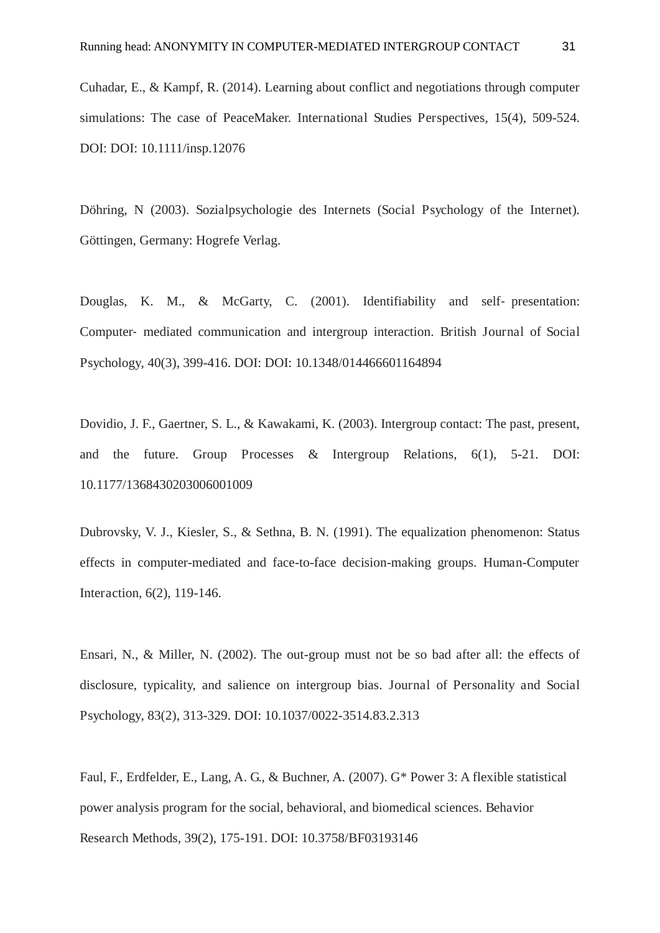Cuhadar, E., & Kampf, R. (2014). Learning about conflict and negotiations through computer simulations: The case of PeaceMaker. International Studies Perspectives, 15(4), 509-524. DOI: DOI: 10.1111/insp.12076

Döhring, N (2003). Sozialpsychologie des Internets (Social Psychology of the Internet). Göttingen, Germany: Hogrefe Verlag.

Douglas, K. M.,  $\&$  McGarty, C. (2001). Identifiability and self-presentation: Computer- mediated communication and intergroup interaction. British Journal of Social Psychology, 40(3), 399-416. DOI: DOI: 10.1348/014466601164894

Dovidio, J. F., Gaertner, S. L., & Kawakami, K. (2003). Intergroup contact: The past, present, and the future. Group Processes & Intergroup Relations, 6(1), 5-21. DOI: 10.1177/1368430203006001009

Dubrovsky, V. J., Kiesler, S., & Sethna, B. N. (1991). The equalization phenomenon: Status effects in computer-mediated and face-to-face decision-making groups. Human-Computer Interaction, 6(2), 119-146.

Ensari, N., & Miller, N. (2002). The out-group must not be so bad after all: the effects of disclosure, typicality, and salience on intergroup bias. Journal of Personality and Social Psychology, 83(2), 313-329. DOI: 10.1037/0022-3514.83.2.313

Faul, F., Erdfelder, E., Lang, A. G., & Buchner, A. (2007). G\* Power 3: A flexible statistical power analysis program for the social, behavioral, and biomedical sciences. Behavior Research Methods, 39(2), 175-191. DOI: 10.3758/BF03193146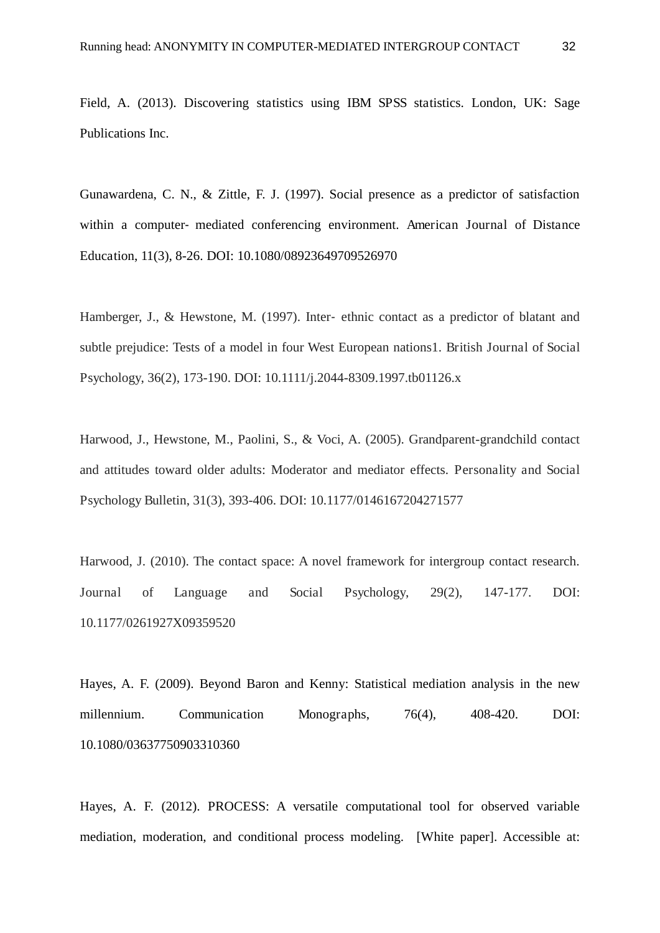Field, A. (2013). Discovering statistics using IBM SPSS statistics. London, UK: Sage Publications Inc.

Gunawardena, C. N., & Zittle, F. J. (1997). Social presence as a predictor of satisfaction within a computer- mediated conferencing environment. American Journal of Distance Education, 11(3), 8-26. DOI: 10.1080/08923649709526970

Hamberger, J., & Hewstone, M. (1997). Inter-ethnic contact as a predictor of blatant and subtle prejudice: Tests of a model in four West European nations1. British Journal of Social Psychology, 36(2), 173-190. DOI: 10.1111/j.2044-8309.1997.tb01126.x

Harwood, J., Hewstone, M., Paolini, S., & Voci, A. (2005). Grandparent-grandchild contact and attitudes toward older adults: Moderator and mediator effects. Personality and Social Psychology Bulletin, 31(3), 393-406. DOI: 10.1177/0146167204271577

Harwood, J. (2010). The contact space: A novel framework for intergroup contact research. Journal of Language and Social Psychology, 29(2), 147-177. DOI: 10.1177/0261927X09359520

Hayes, A. F. (2009). Beyond Baron and Kenny: Statistical mediation analysis in the new millennium. Communication Monographs, 76(4), 408-420. DOI: 10.1080/03637750903310360

Hayes, A. F. (2012). PROCESS: A versatile computational tool for observed variable mediation, moderation, and conditional process modeling. [White paper]. Accessible at: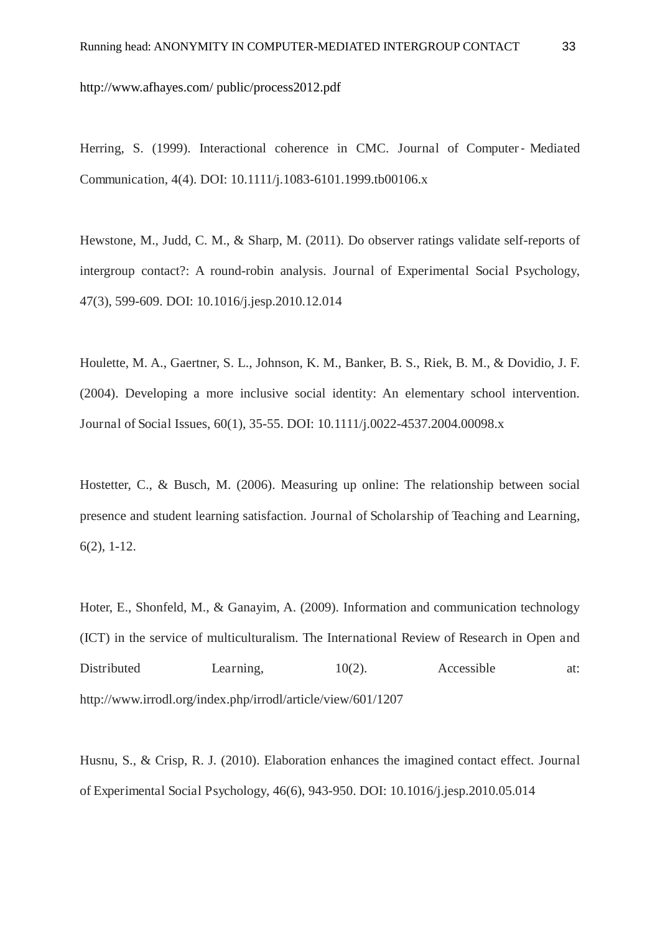http://www.afhayes.com/ public/process2012.pdf

Herring, S. (1999). Interactional coherence in CMC. Journal of Computer - Mediated Communication, 4(4). DOI: 10.1111/j.1083-6101.1999.tb00106.x

Hewstone, M., Judd, C. M., & Sharp, M. (2011). Do observer ratings validate self-reports of intergroup contact?: A round-robin analysis. Journal of Experimental Social Psychology, 47(3), 599-609. DOI: 10.1016/j.jesp.2010.12.014

Houlette, M. A., Gaertner, S. L., Johnson, K. M., Banker, B. S., Riek, B. M., & Dovidio, J. F. (2004). Developing a more inclusive social identity: An elementary school intervention. Journal of Social Issues, 60(1), 35-55. DOI: 10.1111/j.0022-4537.2004.00098.x

Hostetter, C., & Busch, M. (2006). Measuring up online: The relationship between social presence and student learning satisfaction. Journal of Scholarship of Teaching and Learning, 6(2), 1-12.

Hoter, E., Shonfeld, M., & Ganayim, A. (2009). Information and communication technology (ICT) in the service of multiculturalism. The International Review of Research in Open and Distributed Learning,  $10(2)$ . Accessible at: http://www.irrodl.org/index.php/irrodl/article/view/601/1207

Husnu, S., & Crisp, R. J. (2010). Elaboration enhances the imagined contact effect. Journal of Experimental Social Psychology, 46(6), 943-950. DOI: 10.1016/j.jesp.2010.05.014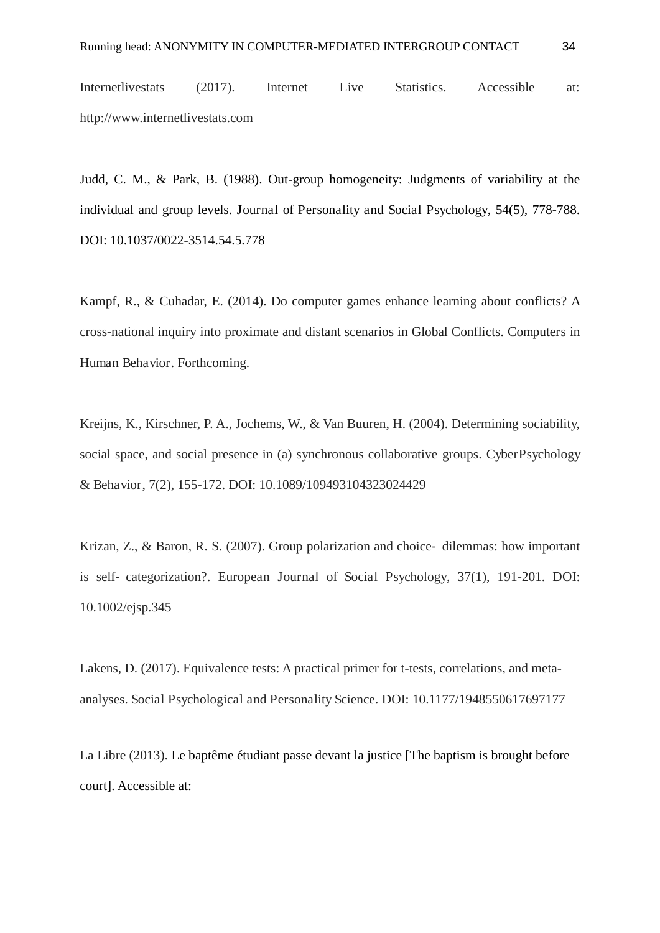Internetlivestats (2017). Internet Live Statistics. Accessible at: http://www.internetlivestats.com

Judd, C. M., & Park, B. (1988). Out-group homogeneity: Judgments of variability at the individual and group levels. Journal of Personality and Social Psychology, 54(5), 778-788. DOI: 10.1037/0022-3514.54.5.778

Kampf, R., & Cuhadar, E. (2014). Do computer games enhance learning about conflicts? A cross-national inquiry into proximate and distant scenarios in Global Conflicts. Computers in Human Behavior. Forthcoming.

Kreijns, K., Kirschner, P. A., Jochems, W., & Van Buuren, H. (2004). Determining sociability, social space, and social presence in (a) synchronous collaborative groups. CyberPsychology & Behavior, 7(2), 155-172. DOI: 10.1089/109493104323024429

Krizan, Z., & Baron, R. S. (2007). Group polarization and choice-dilemmas: how important is self- categorization?. European Journal of Social Psychology, 37(1), 191-201. DOI: 10.1002/ejsp.345

Lakens, D. (2017). Equivalence tests: A practical primer for t-tests, correlations, and metaanalyses. Social Psychological and Personality Science. DOI: 10.1177/1948550617697177

La Libre (2013). Le baptême étudiant passe devant la justice [The baptism is brought before court]. Accessible at: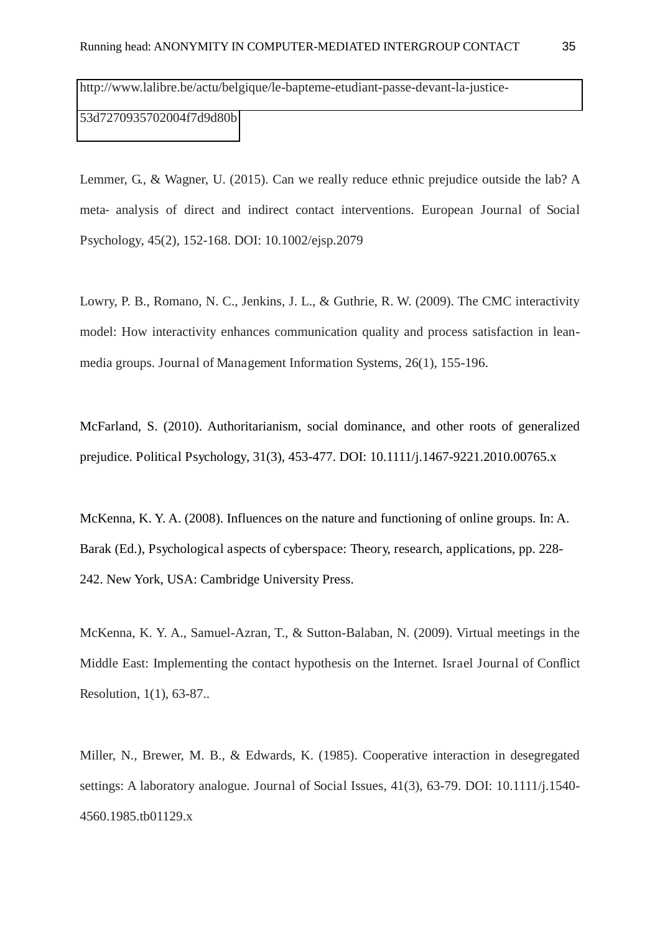[http://www.lalibre.be/actu/belgique/le-bapteme-etudiant-passe-devant-la-justice-](http://www.lalibre.be/actu/belgique/le-bapteme-etudiant-passe-devant-la-justice-53d7270935702004f7d9d80b)[53d7270935702004f7d9d80b](http://www.lalibre.be/actu/belgique/le-bapteme-etudiant-passe-devant-la-justice-53d7270935702004f7d9d80b) 

Lemmer, G., & Wagner, U. (2015). Can we really reduce ethnic prejudice outside the lab? A meta- analysis of direct and indirect contact interventions. European Journal of Social Psychology, 45(2), 152-168. DOI: 10.1002/ejsp.2079

Lowry, P. B., Romano, N. C., Jenkins, J. L., & Guthrie, R. W. (2009). The CMC interactivity model: How interactivity enhances communication quality and process satisfaction in leanmedia groups. Journal of Management Information Systems, 26(1), 155-196.

McFarland, S. (2010). Authoritarianism, social dominance, and other roots of generalized prejudice. Political Psychology, 31(3), 453-477. DOI: 10.1111/j.1467-9221.2010.00765.x

McKenna, K. Y. A. (2008). Influences on the nature and functioning of online groups. In: A. Barak (Ed.), Psychological aspects of cyberspace: Theory, research, applications, pp. 228- 242. New York, USA: Cambridge University Press.

McKenna, K. Y. A., Samuel-Azran, T., & Sutton-Balaban, N. (2009). Virtual meetings in the Middle East: Implementing the contact hypothesis on the Internet. Israel Journal of Conflict Resolution, 1(1), 63-87..

Miller, N., Brewer, M. B., & Edwards, K. (1985). Cooperative interaction in desegregated settings: A laboratory analogue. Journal of Social Issues, 41(3), 63-79. DOI: 10.1111/j.1540- 4560.1985.tb01129.x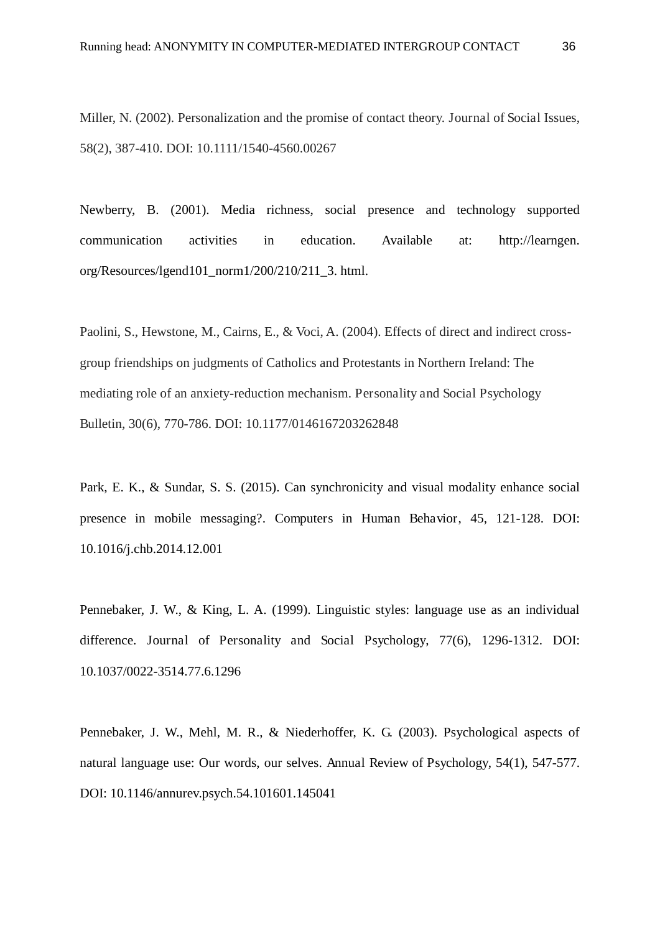Miller, N. (2002). Personalization and the promise of contact theory. Journal of Social Issues, 58(2), 387-410. DOI: 10.1111/1540-4560.00267

Newberry, B. (2001). Media richness, social presence and technology supported communication activities in education. Available at: http://learngen. org/Resources/lgend101\_norm1/200/210/211\_3. html.

Paolini, S., Hewstone, M., Cairns, E., & Voci, A. (2004). Effects of direct and indirect crossgroup friendships on judgments of Catholics and Protestants in Northern Ireland: The mediating role of an anxiety-reduction mechanism. Personality and Social Psychology Bulletin, 30(6), 770-786. DOI: 10.1177/0146167203262848

Park, E. K., & Sundar, S. S. (2015). Can synchronicity and visual modality enhance social presence in mobile messaging?. Computers in Human Behavior, 45, 121-128. DOI: 10.1016/j.chb.2014.12.001

Pennebaker, J. W., & King, L. A. (1999). Linguistic styles: language use as an individual difference. Journal of Personality and Social Psychology, 77(6), 1296-1312. DOI: 10.1037/0022-3514.77.6.1296

Pennebaker, J. W., Mehl, M. R., & Niederhoffer, K. G. (2003). Psychological aspects of natural language use: Our words, our selves. Annual Review of Psychology, 54(1), 547-577. DOI: 10.1146/annurev.psych.54.101601.145041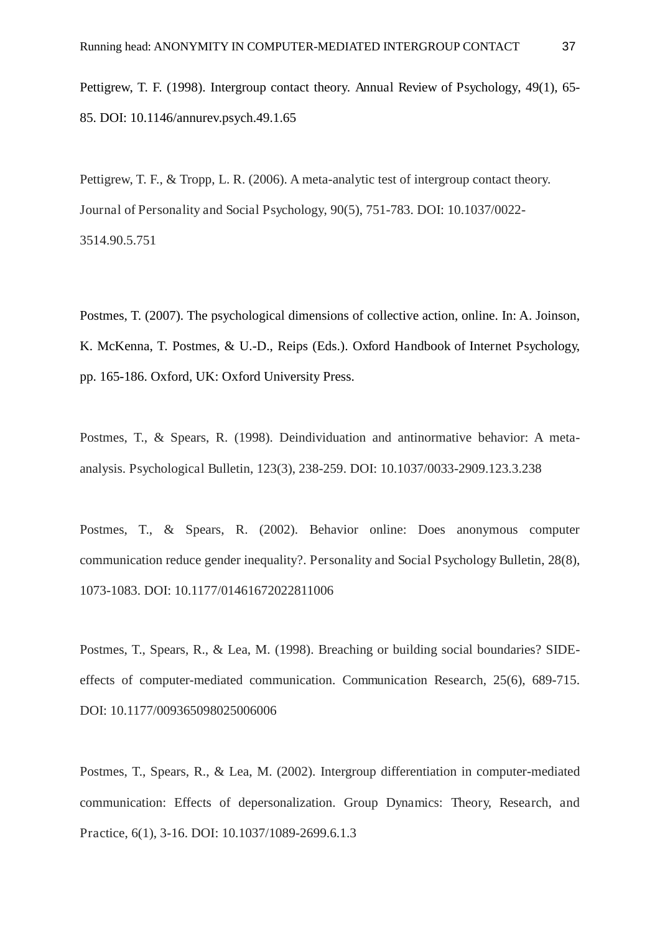Pettigrew, T. F. (1998). Intergroup contact theory. Annual Review of Psychology, 49(1), 65- 85. DOI: 10.1146/annurev.psych.49.1.65

Pettigrew, T. F., & Tropp, L. R. (2006). A meta-analytic test of intergroup contact theory. Journal of Personality and Social Psychology, 90(5), 751-783. DOI: 10.1037/0022- 3514.90.5.751

Postmes, T. (2007). The psychological dimensions of collective action, online. In: A. Joinson, K. McKenna, T. Postmes, & U.-D., Reips (Eds.). Oxford Handbook of Internet Psychology, pp. 165-186. Oxford, UK: Oxford University Press.

Postmes, T., & Spears, R. (1998). Deindividuation and antinormative behavior: A metaanalysis. Psychological Bulletin, 123(3), 238-259. DOI: 10.1037/0033-2909.123.3.238

Postmes, T., & Spears, R. (2002). Behavior online: Does anonymous computer communication reduce gender inequality?. Personality and Social Psychology Bulletin, 28(8), 1073-1083. DOI: 10.1177/01461672022811006

Postmes, T., Spears, R., & Lea, M. (1998). Breaching or building social boundaries? SIDEeffects of computer-mediated communication. Communication Research, 25(6), 689-715. DOI: 10.1177/009365098025006006

Postmes, T., Spears, R., & Lea, M. (2002). Intergroup differentiation in computer-mediated communication: Effects of depersonalization. Group Dynamics: Theory, Research, and Practice, 6(1), 3-16. DOI: 10.1037/1089-2699.6.1.3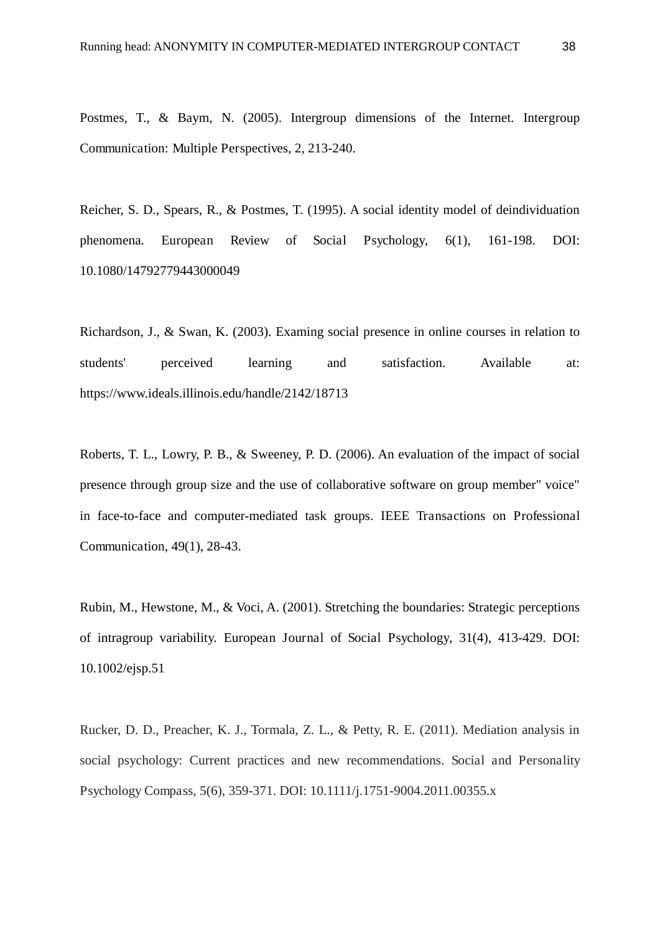Postmes, T., & Baym, N. (2005). Intergroup dimensions of the Internet. Intergroup Communication: Multiple Perspectives, 2, 213-240.

Reicher, S. D., Spears, R., & Postmes, T. (1995). A social identity model of deindividuation phenomena. European Review of Social Psychology, 6(1), 161-198. DOI: 10.1080/14792779443000049

Richardson, J., & Swan, K. (2003). Examing social presence in online courses in relation to students' perceived learning and satisfaction. Available at: https://www.ideals.illinois.edu/handle/2142/18713

Roberts, T. L., Lowry, P. B., & Sweeney, P. D. (2006). An evaluation of the impact of social presence through group size and the use of collaborative software on group member" voice" in face-to-face and computer-mediated task groups. IEEE Transactions on Professional Communication, 49(1), 28-43.

Rubin, M., Hewstone, M., & Voci, A. (2001). Stretching the boundaries: Strategic perceptions of intragroup variability. European Journal of Social Psychology, 31(4), 413-429. DOI: 10.1002/ejsp.51

Rucker, D. D., Preacher, K. J., Tormala, Z. L., & Petty, R. E. (2011). Mediation analysis in social psychology: Current practices and new recommendations. Social and Personality Psychology Compass, 5(6), 359-371. DOI: 10.1111/j.1751-9004.2011.00355.x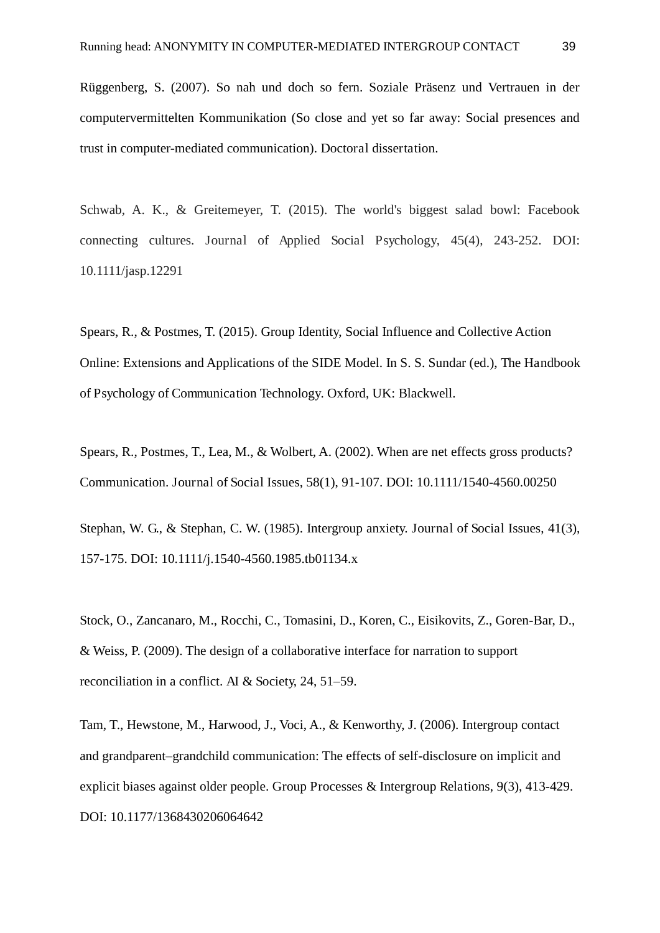Rüggenberg, S. (2007). So nah und doch so fern. Soziale Präsenz und Vertrauen in der computervermittelten Kommunikation (So close and yet so far away: Social presences and trust in computer-mediated communication). Doctoral dissertation.

Schwab, A. K., & Greitemeyer, T. (2015). The world's biggest salad bowl: Facebook connecting cultures. Journal of Applied Social Psychology, 45(4), 243-252. DOI: 10.1111/jasp.12291

Spears, R., & Postmes, T. (2015). Group Identity, Social Influence and Collective Action Online: Extensions and Applications of the SIDE Model. In S. S. Sundar (ed.), The Handbook of Psychology of Communication Technology. Oxford, UK: Blackwell.

Spears, R., Postmes, T., Lea, M., & Wolbert, A. (2002). When are net effects gross products? Communication. Journal of Social Issues, 58(1), 91-107. DOI: 10.1111/1540-4560.00250

Stephan, W. G., & Stephan, C. W. (1985). Intergroup anxiety. Journal of Social Issues, 41(3), 157-175. DOI: 10.1111/j.1540-4560.1985.tb01134.x

Stock, O., Zancanaro, M., Rocchi, C., Tomasini, D., Koren, C., Eisikovits, Z., Goren-Bar, D., & Weiss, P. (2009). The design of a collaborative interface for narration to support reconciliation in a conflict. AI & Society, 24, 51–59.

Tam, T., Hewstone, M., Harwood, J., Voci, A., & Kenworthy, J. (2006). Intergroup contact and grandparent–grandchild communication: The effects of self-disclosure on implicit and explicit biases against older people. Group Processes & Intergroup Relations, 9(3), 413-429. DOI: 10.1177/1368430206064642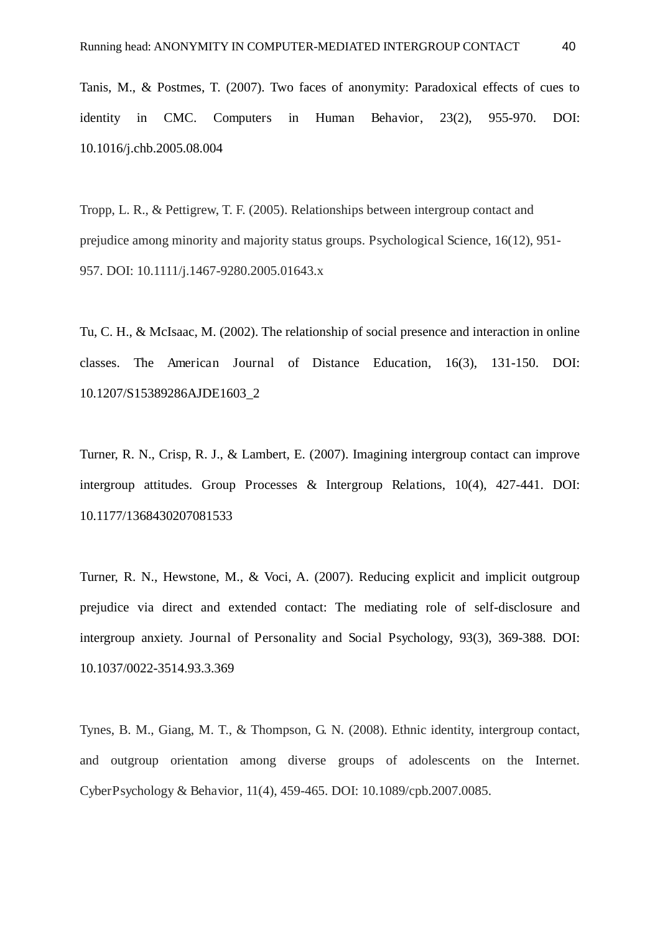Tanis, M., & Postmes, T. (2007). Two faces of anonymity: Paradoxical effects of cues to identity in CMC. Computers in Human Behavior, 23(2), 955-970. DOI: 10.1016/j.chb.2005.08.004

Tropp, L. R., & Pettigrew, T. F. (2005). Relationships between intergroup contact and prejudice among minority and majority status groups. Psychological Science, 16(12), 951- 957. DOI: 10.1111/j.1467-9280.2005.01643.x

Tu, C. H., & McIsaac, M. (2002). The relationship of social presence and interaction in online classes. The American Journal of Distance Education, 16(3), 131-150. DOI: 10.1207/S15389286AJDE1603\_2

Turner, R. N., Crisp, R. J., & Lambert, E. (2007). Imagining intergroup contact can improve intergroup attitudes. Group Processes & Intergroup Relations, 10(4), 427-441. DOI: 10.1177/1368430207081533

Turner, R. N., Hewstone, M., & Voci, A. (2007). Reducing explicit and implicit outgroup prejudice via direct and extended contact: The mediating role of self-disclosure and intergroup anxiety. Journal of Personality and Social Psychology, 93(3), 369-388. DOI: 10.1037/0022-3514.93.3.369

Tynes, B. M., Giang, M. T., & Thompson, G. N. (2008). Ethnic identity, intergroup contact, and outgroup orientation among diverse groups of adolescents on the Internet. CyberPsychology & Behavior, 11(4), 459-465. DOI: 10.1089/cpb.2007.0085.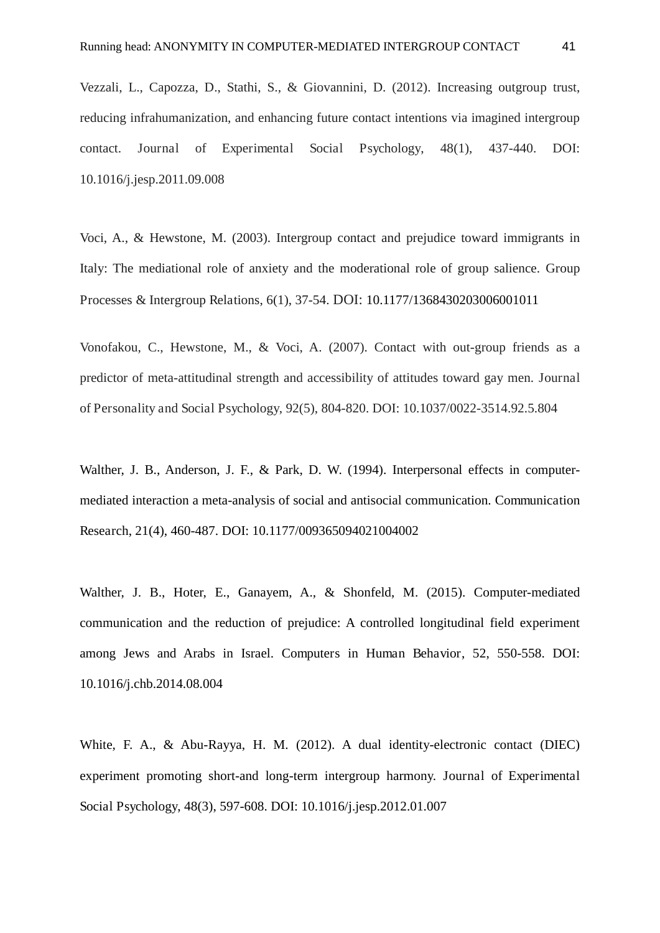Vezzali, L., Capozza, D., Stathi, S., & Giovannini, D. (2012). Increasing outgroup trust, reducing infrahumanization, and enhancing future contact intentions via imagined intergroup contact. Journal of Experimental Social Psychology, 48(1), 437-440. DOI: 10.1016/j.jesp.2011.09.008

Voci, A., & Hewstone, M. (2003). Intergroup contact and prejudice toward immigrants in Italy: The mediational role of anxiety and the moderational role of group salience. Group Processes & Intergroup Relations, 6(1), 37-54. DOI: 10.1177/1368430203006001011

Vonofakou, C., Hewstone, M., & Voci, A. (2007). Contact with out-group friends as a predictor of meta-attitudinal strength and accessibility of attitudes toward gay men. Journal of Personality and Social Psychology, 92(5), 804-820. DOI: 10.1037/0022-3514.92.5.804

Walther, J. B., Anderson, J. F., & Park, D. W. (1994). Interpersonal effects in computermediated interaction a meta-analysis of social and antisocial communication. Communication Research, 21(4), 460-487. DOI: 10.1177/009365094021004002

Walther, J. B., Hoter, E., Ganayem, A., & Shonfeld, M. (2015). Computer-mediated communication and the reduction of prejudice: A controlled longitudinal field experiment among Jews and Arabs in Israel. Computers in Human Behavior, 52, 550-558. DOI: 10.1016/j.chb.2014.08.004

White, F. A., & Abu-Rayya, H. M. (2012). A dual identity-electronic contact (DIEC) experiment promoting short-and long-term intergroup harmony. Journal of Experimental Social Psychology, 48(3), 597-608. DOI: 10.1016/j.jesp.2012.01.007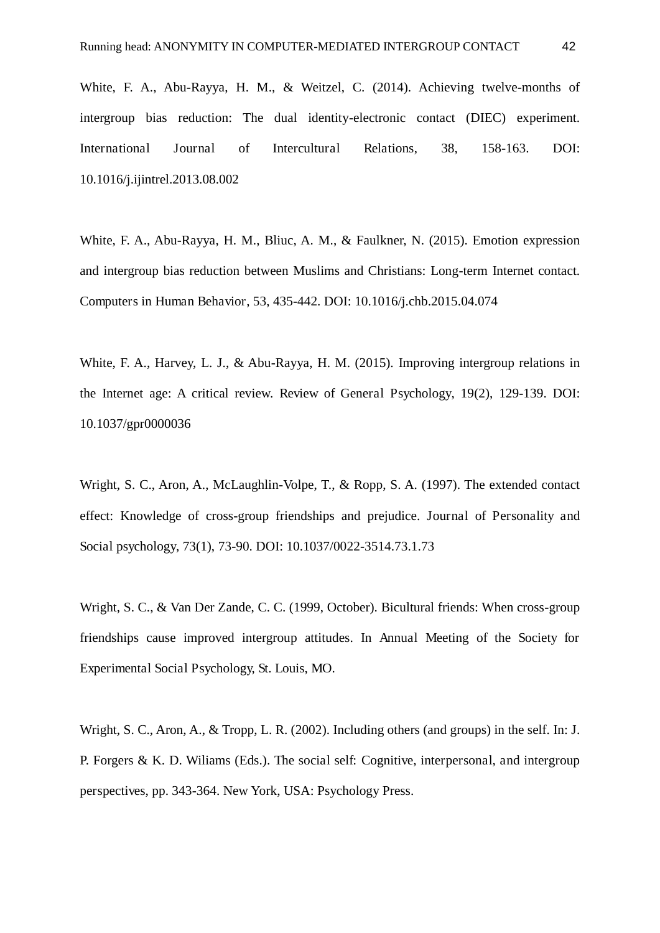White, F. A., Abu-Rayya, H. M., & Weitzel, C. (2014). Achieving twelve-months of intergroup bias reduction: The dual identity-electronic contact (DIEC) experiment. International Journal of Intercultural Relations, 38, 158-163. DOI: 10.1016/j.ijintrel.2013.08.002

White, F. A., Abu-Rayya, H. M., Bliuc, A. M., & Faulkner, N. (2015). Emotion expression and intergroup bias reduction between Muslims and Christians: Long-term Internet contact. Computers in Human Behavior, 53, 435-442. DOI: 10.1016/j.chb.2015.04.074

White, F. A., Harvey, L. J., & Abu-Rayya, H. M. (2015). Improving intergroup relations in the Internet age: A critical review. Review of General Psychology, 19(2), 129-139. DOI: 10.1037/gpr0000036

Wright, S. C., Aron, A., McLaughlin-Volpe, T., & Ropp, S. A. (1997). The extended contact effect: Knowledge of cross-group friendships and prejudice. Journal of Personality and Social psychology, 73(1), 73-90. DOI: 10.1037/0022-3514.73.1.73

Wright, S. C., & Van Der Zande, C. C. (1999, October). Bicultural friends: When cross-group friendships cause improved intergroup attitudes. In Annual Meeting of the Society for Experimental Social Psychology, St. Louis, MO.

Wright, S. C., Aron, A., & Tropp, L. R. (2002). Including others (and groups) in the self. In: J. P. Forgers & K. D. Wiliams (Eds.). The social self: Cognitive, interpersonal, and intergroup perspectives, pp. 343-364. New York, USA: Psychology Press.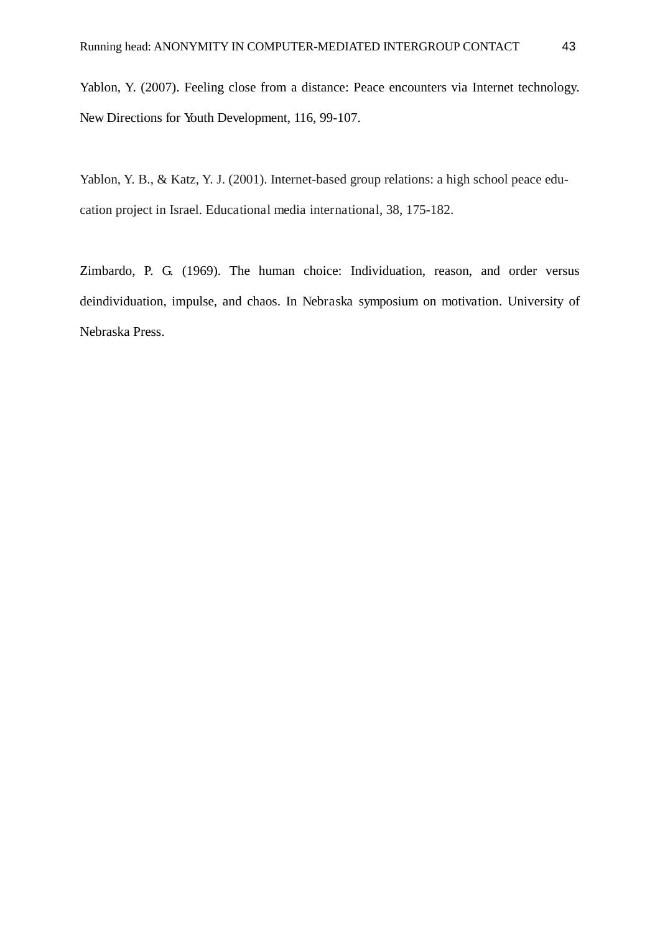Yablon, Y. (2007). Feeling close from a distance: Peace encounters via Internet technology. New Directions for Youth Development, 116, 99-107.

Yablon, Y. B., & Katz, Y. J. (2001). Internet-based group relations: a high school peace education project in Israel. Educational media international, 38, 175-182.

Zimbardo, P. G. (1969). The human choice: Individuation, reason, and order versus deindividuation, impulse, and chaos. In Nebraska symposium on motivation. University of Nebraska Press.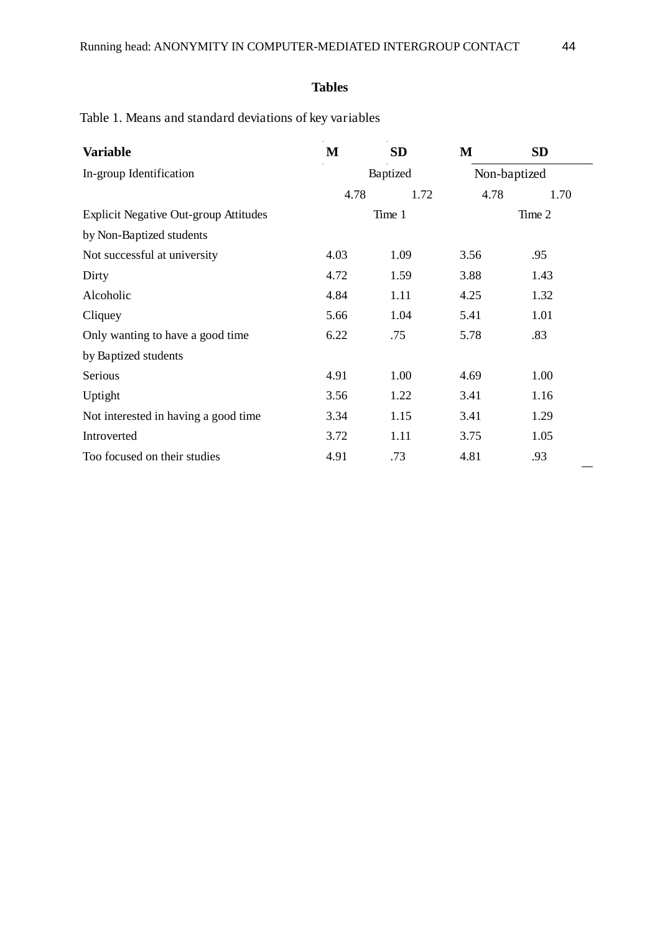# **Tables**

Table 1. Means and standard deviations of key variables

| <b>Variable</b>                              | M    | <b>SD</b> | M            | SD   |  |  |
|----------------------------------------------|------|-----------|--------------|------|--|--|
| In-group Identification                      |      | Baptized  | Non-baptized |      |  |  |
|                                              | 4.78 | 1.72      | 4.78         | 1.70 |  |  |
| <b>Explicit Negative Out-group Attitudes</b> |      | Time 1    | Time 2       |      |  |  |
| by Non-Baptized students                     |      |           |              |      |  |  |
| Not successful at university                 | 4.03 | 1.09      | 3.56         | .95  |  |  |
| Dirty                                        | 4.72 | 1.59      | 3.88         | 1.43 |  |  |
| Alcoholic                                    | 4.84 | 1.11      | 4.25         | 1.32 |  |  |
| Cliquey                                      | 5.66 | 1.04      | 5.41         | 1.01 |  |  |
| Only wanting to have a good time             | 6.22 | .75       | 5.78         | .83  |  |  |
| by Baptized students                         |      |           |              |      |  |  |
| Serious                                      | 4.91 | 1.00      | 4.69         | 1.00 |  |  |
| Uptight                                      | 3.56 | 1.22      | 3.41         | 1.16 |  |  |
| Not interested in having a good time         | 3.34 | 1.15      | 3.41         | 1.29 |  |  |
| Introverted                                  | 3.72 | 1.11      | 3.75         | 1.05 |  |  |
| Too focused on their studies                 | 4.91 | .73       | 4.81         | .93  |  |  |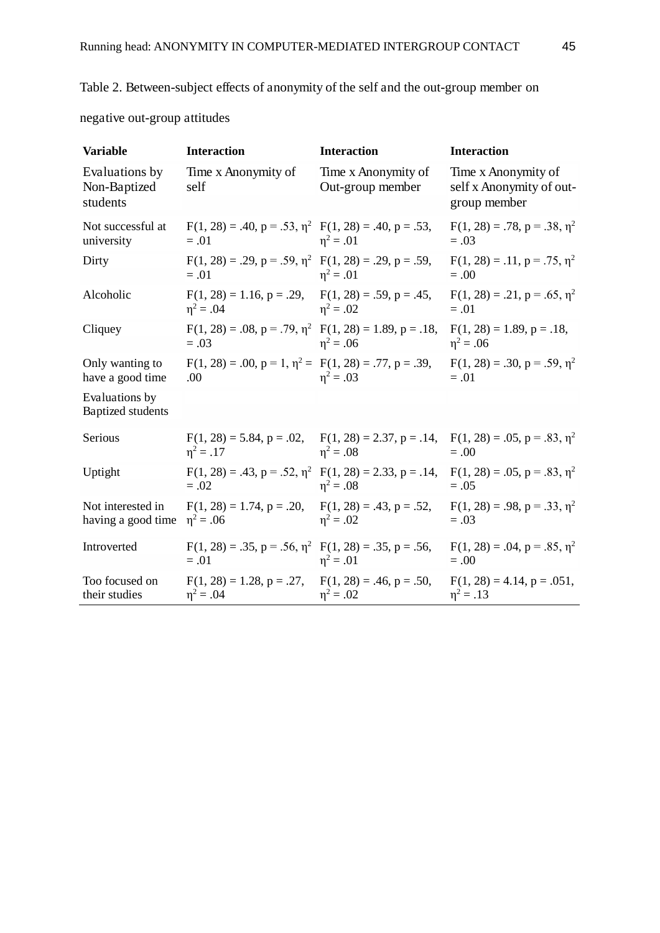negative out-group attitudes

| <b>Variable</b>                            | <b>Interaction</b>                                                                                                        | <b>Interaction</b>                               | <b>Interaction</b>                                              |
|--------------------------------------------|---------------------------------------------------------------------------------------------------------------------------|--------------------------------------------------|-----------------------------------------------------------------|
| Evaluations by<br>Non-Baptized<br>students | Time x Anonymity of<br>self                                                                                               | Time x Anonymity of<br>Out-group member          | Time x Anonymity of<br>self x Anonymity of out-<br>group member |
| Not successful at<br>university            | $F(1, 28) = .40$ , $p = .53$ , $\eta^2$ $F(1, 28) = .40$ , $p = .53$ ,<br>$=.01$                                          | $\eta^2 = .01$                                   | $F(1, 28) = .78$ , $p = .38$ , $\eta^2$<br>$=.03$               |
| Dirty                                      | $F(1, 28) = .29$ , $p = .59$ , $\eta^2$ $F(1, 28) = .29$ , $p = .59$ ,<br>$=.01$                                          | $n^2 = .01$                                      | $F(1, 28) = .11$ , $p = .75$ , $\eta^2$<br>$= .00$              |
| Alcoholic                                  | $F(1, 28) = 1.16$ , $p = .29$ , $F(1, 28) = .59$ , $p = .45$ ,<br>$\eta^2 = .04$                                          | $n^2 = .02$                                      | $F(1, 28) = .21$ , $p = .65$ , $\eta^2$<br>$=.01$               |
| Cliquey                                    | $F(1, 28) = .08$ , $p = .79$ , $\eta^2$ $F(1, 28) = 1.89$ , $p = .18$ ,<br>$=.03$                                         | $\eta^2 = .06$                                   | $F(1, 28) = 1.89, p = .18,$<br>$\eta^2 = .06$                   |
| Only wanting to<br>have a good time        | $F(1, 28) = .00$ , $p = 1$ , $\eta^2 = F(1, 28) = .77$ , $p = .39$ ,<br>.00.                                              | $n^2 = .03$                                      | $F(1, 28) = .30$ , $p = .59$ , $\eta^2$<br>$=.01$               |
| Evaluations by<br>Baptized students        |                                                                                                                           |                                                  |                                                                 |
| Serious                                    | $F(1, 28) = 5.84$ , $p = .02$ , $F(1, 28) = 2.37$ , $p = .14$ , $F(1, 28) = .05$ , $p = .83$ , $\eta^2$<br>$n^2 = .17$    | $\eta^2 = .08$                                   | $=.00$                                                          |
| Uptight                                    | $F(1, 28) = .43$ , $p = .52$ , $\eta^2$ $F(1, 28) = 2.33$ , $p = .14$ , $F(1, 28) = .05$ , $p = .83$ , $\eta^2$<br>$=.02$ | $\eta^2 = .08$                                   | $=.05$                                                          |
| Not interested in<br>having a good time    | $F(1, 28) = 1.74$ , $p = .20$ ,<br>$\eta^2 = .06$                                                                         | $F(1, 28) = .43$ , $p = .52$ ,<br>$\eta^2 = .02$ | $F(1, 28) = .98$ , $p = .33$ , $n^2$<br>$=.03$                  |
| Introverted                                | $F(1, 28) = .35$ , $p = .56$ , $\eta^2$ $F(1, 28) = .35$ , $p = .56$ ,<br>$=.01$                                          | $\eta^2 = .01$                                   | $F(1, 28) = .04$ , $p = .85$ , $\eta^2$<br>$=.00$               |
| Too focused on<br>their studies            | $F(1, 28) = 1.28$ , $p = .27$ ,<br>$\eta^2 = .04$                                                                         | $F(1, 28) = .46, p = .50,$<br>$\eta^2 = .02$     | $F(1, 28) = 4.14$ , $p = .051$ ,<br>$\eta^2 = .13$              |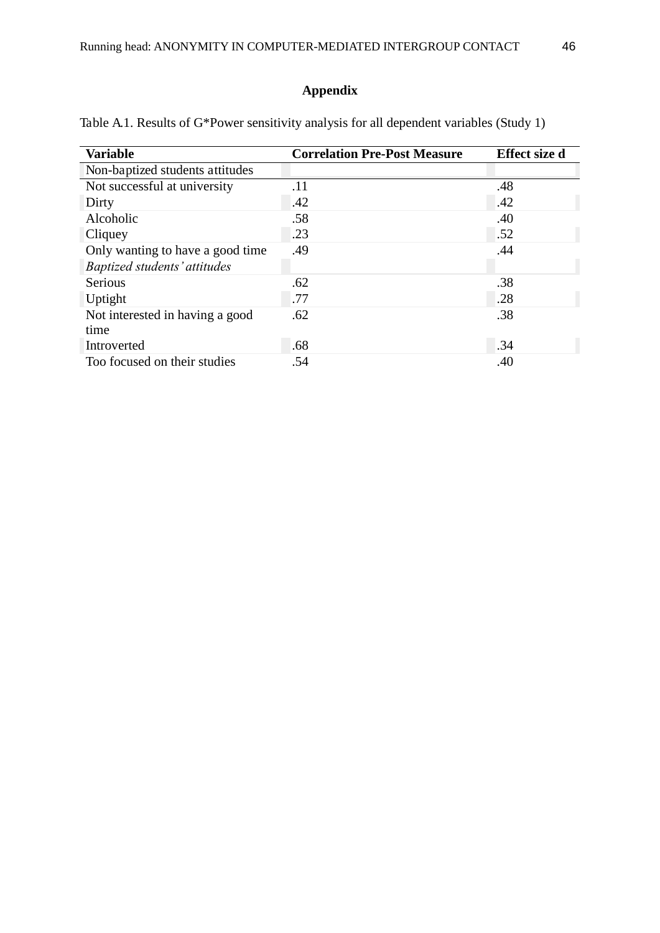# **Appendix**

| <b>Variable</b>                     | <b>Correlation Pre-Post Measure</b> | <b>Effect size d</b> |
|-------------------------------------|-------------------------------------|----------------------|
| Non-baptized students attitudes     |                                     |                      |
| Not successful at university        | .11                                 | .48                  |
| Dirty                               | .42                                 | .42                  |
| Alcoholic                           | .58                                 | .40                  |
| Cliquey                             | .23                                 | .52                  |
| Only wanting to have a good time    | .49                                 | .44                  |
| <b>Baptized students' attitudes</b> |                                     |                      |
| <b>Serious</b>                      | .62                                 | .38                  |
| Uptight                             | .77                                 | .28                  |
| Not interested in having a good     | .62                                 | .38                  |
| time                                |                                     |                      |
| Introverted                         | .68                                 | .34                  |
| Too focused on their studies        | .54                                 | .40                  |

Table A.1. Results of G\*Power sensitivity analysis for all dependent variables (Study 1)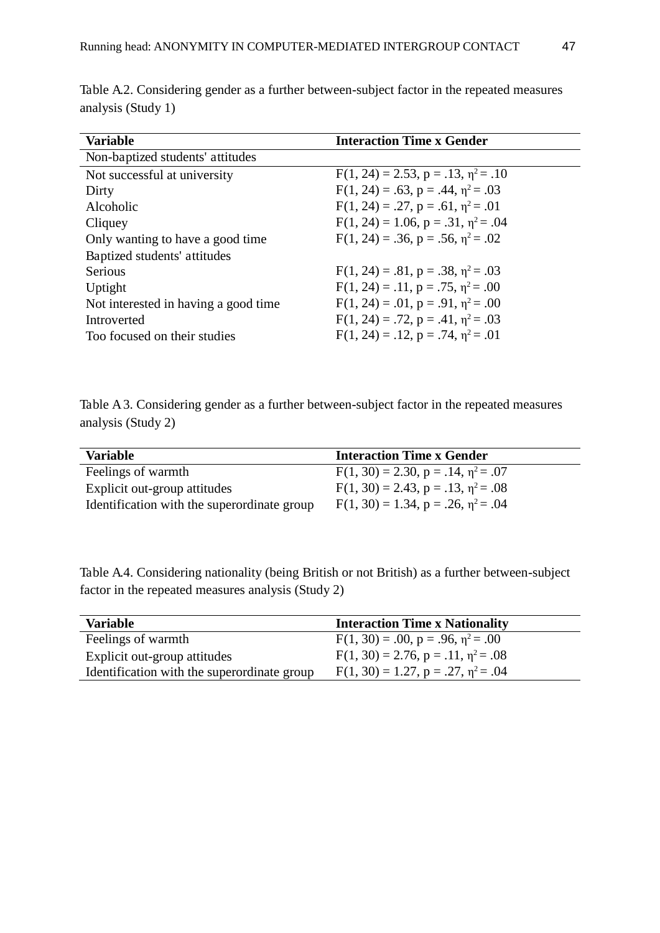| <b>Variable</b>                       | <b>Interaction Time x Gender</b>               |
|---------------------------------------|------------------------------------------------|
|                                       |                                                |
| Non-baptized students' attitudes      |                                                |
| Not successful at university          | $F(1, 24) = 2.53$ , $p = .13$ , $p^2 = .10$    |
| Dirty                                 | $F(1, 24) = .63$ , $p = .44$ , $\eta^2 = .03$  |
| Alcoholic                             | $F(1, 24) = .27$ , $p = .61$ , $n^2 = .01$     |
| Cliquey                               | $F(1, 24) = 1.06$ , $p = .31$ , $\eta^2 = .04$ |
| Only wanting to have a good time.     | $F(1, 24) = .36$ , $p = .56$ , $n^2 = .02$     |
| Baptized students' attitudes          |                                                |
| <b>Serious</b>                        | $F(1, 24) = .81$ , $p = .38$ , $n^2 = .03$     |
| Uptight                               | $F(1, 24) = .11$ , $p = .75$ , $\eta^2 = .00$  |
| Not interested in having a good time. | $F(1, 24) = .01$ , $p = .91$ , $p^2 = .00$     |
| Introverted                           | $F(1, 24) = .72$ , $p = .41$ , $\eta^2 = .03$  |
| Too focused on their studies          | $F(1, 24) = .12$ , $p = .74$ , $\eta^2 = .01$  |

Table A.2. Considering gender as a further between-subject factor in the repeated measures analysis (Study 1)

Table A 3. Considering gender as a further between-subject factor in the repeated measures analysis (Study 2)

| Variable                                    | <b>Interaction Time x Gender</b>            |
|---------------------------------------------|---------------------------------------------|
| Feelings of warmth                          | $F(1, 30) = 2.30, p = .14, \eta^2 = .07$    |
| Explicit out-group attitudes                | $F(1, 30) = 2.43$ , $p = .13$ , $n^2 = .08$ |
| Identification with the superordinate group | $F(1, 30) = 1.34$ , $p = .26$ , $n^2 = .04$ |

Table A.4. Considering nationality (being British or not British) as a further between-subject factor in the repeated measures analysis (Study 2)

| <b>Variable</b>                             | <b>Interaction Time x Nationality</b>          |
|---------------------------------------------|------------------------------------------------|
| Feelings of warmth                          | $F(1, 30) = .00$ , $p = .96$ , $\eta^2 = .00$  |
| Explicit out-group attitudes                | $F(1, 30) = 2.76$ , $p = .11$ , $\eta^2 = .08$ |
| Identification with the superordinate group | $F(1, 30) = 1.27$ , $p = .27$ , $p^2 = .04$    |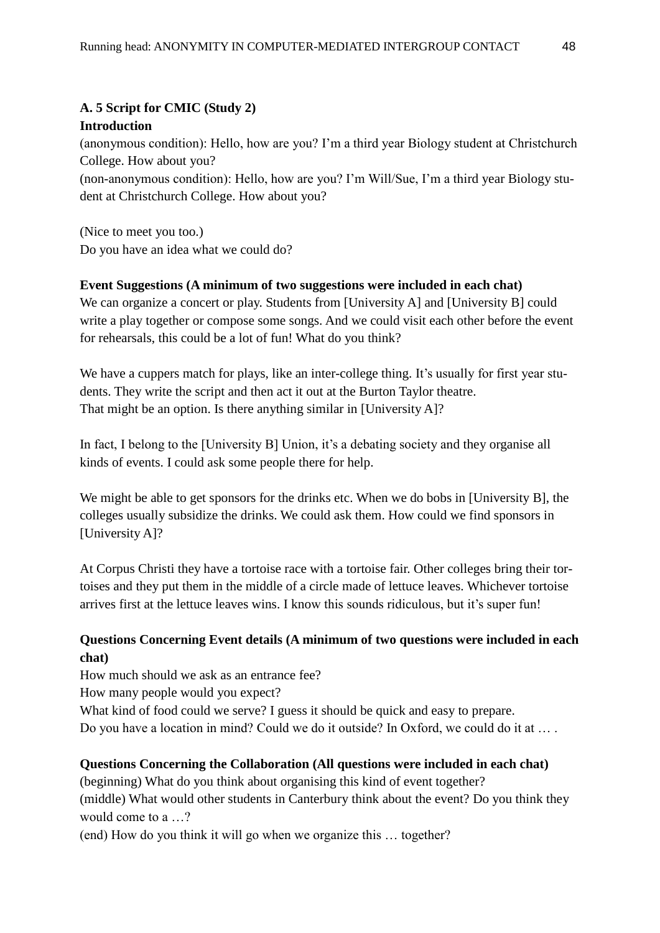# **A. 5 Script for CMIC (Study 2)**

## **Introduction**

(anonymous condition): Hello, how are you? I'm a third year Biology student at Christchurch College. How about you?

(non-anonymous condition): Hello, how are you? I'm Will/Sue, I'm a third year Biology student at Christchurch College. How about you?

(Nice to meet you too.) Do you have an idea what we could do?

# **Event Suggestions (A minimum of two suggestions were included in each chat)**

We can organize a concert or play. Students from [University A] and [University B] could write a play together or compose some songs. And we could visit each other before the event for rehearsals, this could be a lot of fun! What do you think?

We have a cuppers match for plays, like an inter-college thing. It's usually for first year students. They write the script and then act it out at the Burton Taylor theatre. That might be an option. Is there anything similar in [University A]?

In fact, I belong to the [University B] Union, it's a debating society and they organise all kinds of events. I could ask some people there for help.

We might be able to get sponsors for the drinks etc. When we do bobs in [University B], the colleges usually subsidize the drinks. We could ask them. How could we find sponsors in [University A]?

At Corpus Christi they have a tortoise race with a tortoise fair. Other colleges bring their tortoises and they put them in the middle of a circle made of lettuce leaves. Whichever tortoise arrives first at the lettuce leaves wins. I know this sounds ridiculous, but it's super fun!

# **Questions Concerning Event details (A minimum of two questions were included in each chat)**

How much should we ask as an entrance fee?

How many people would you expect?

What kind of food could we serve? I guess it should be quick and easy to prepare.

Do you have a location in mind? Could we do it outside? In Oxford, we could do it at … .

## **Questions Concerning the Collaboration (All questions were included in each chat)**

(beginning) What do you think about organising this kind of event together? (middle) What would other students in Canterbury think about the event? Do you think they would come to a …?

(end) How do you think it will go when we organize this … together?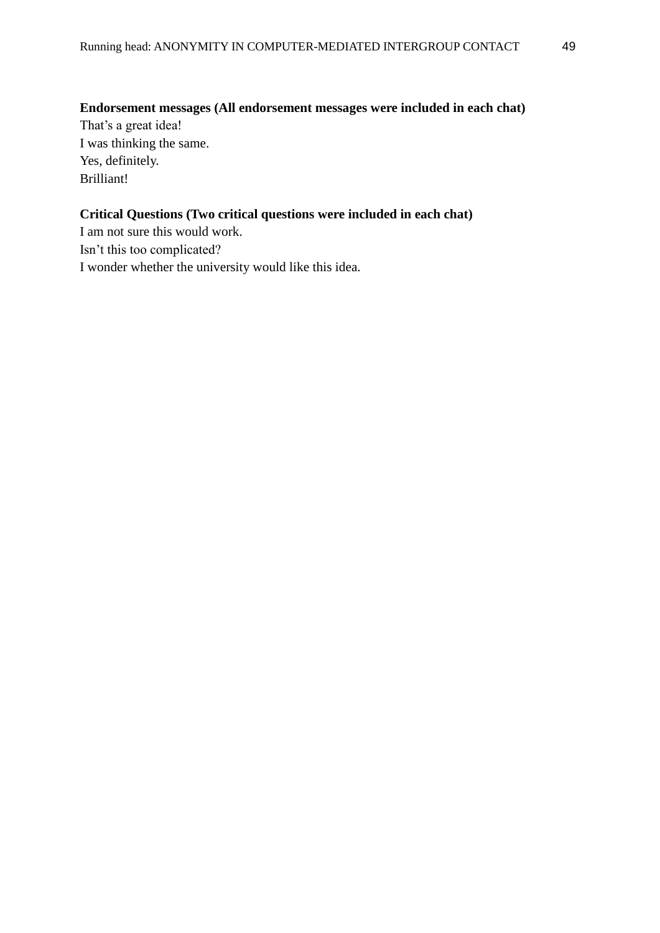**Endorsement messages (All endorsement messages were included in each chat)**

That's a great idea! I was thinking the same. Yes, definitely. Brilliant!

# **Critical Questions (Two critical questions were included in each chat)**

I am not sure this would work. Isn't this too complicated? I wonder whether the university would like this idea.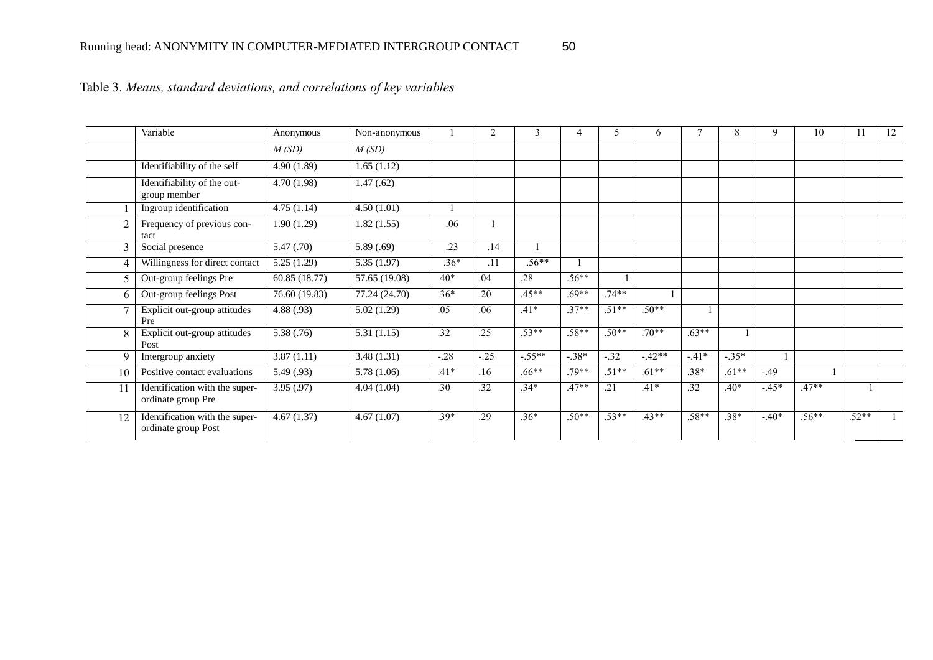|                         | Variable                                              | Anonymous     | Non-anonymous |        | 2      | 3        | $\overline{4}$ | 5       | 6       |         | 8       | 9       | 10      | 11      | 12 |
|-------------------------|-------------------------------------------------------|---------------|---------------|--------|--------|----------|----------------|---------|---------|---------|---------|---------|---------|---------|----|
|                         |                                                       | M(SD)         | M(SD)         |        |        |          |                |         |         |         |         |         |         |         |    |
|                         | Identifiability of the self                           | 4.90(1.89)    | 1.65(1.12)    |        |        |          |                |         |         |         |         |         |         |         |    |
|                         | Identifiability of the out-<br>group member           | 4.70(1.98)    | 1.47(0.62)    |        |        |          |                |         |         |         |         |         |         |         |    |
|                         | Ingroup identification                                | 4.75(1.14)    | 4.50(1.01)    |        |        |          |                |         |         |         |         |         |         |         |    |
|                         | Frequency of previous con-<br>tact                    | 1.90(1.29)    | 1.82(1.55)    | .06    |        |          |                |         |         |         |         |         |         |         |    |
|                         | Social presence                                       | 5.47(.70)     | 5.89(.69)     | .23    | .14    |          |                |         |         |         |         |         |         |         |    |
|                         | Willingness for direct contact                        | 5.25(1.29)    | 5.35(1.97)    | $.36*$ | .11    | $.56**$  |                |         |         |         |         |         |         |         |    |
|                         | Out-group feelings Pre                                | 60.85 (18.77) | 57.65 (19.08) | $.40*$ | .04    | .28      | $.56**$        |         |         |         |         |         |         |         |    |
|                         | Out-group feelings Post                               | 76.60 (19.83) | 77.24 (24.70) | $.36*$ | .20    | $.45**$  | $.69**$        | $.74**$ |         |         |         |         |         |         |    |
|                         | Explicit out-group attitudes<br>Pre                   | 4.88(.93)     | 5.02(1.29)    | .05    | .06    | $.41*$   | $.37**$        | $.51**$ | $.50**$ |         |         |         |         |         |    |
| $\mathsf{\overline{R}}$ | Explicit out-group attitudes<br>Post                  | 5.38(.76)     | 5.31(1.15)    | .32    | .25    | $.53**$  | $.58**$        | $.50**$ | $.70**$ | $.63**$ |         |         |         |         |    |
|                         | Intergroup anxiety                                    | 3.87(1.11)    | 3.48(1.31)    | $-.28$ | $-.25$ | $-.55**$ | $-.38*$        | $-32$   | $-42**$ | $-.41*$ | $-.35*$ |         |         |         |    |
| 10                      | Positive contact evaluations                          | 5.49(.93)     | 5.78(1.06)    | $.41*$ | .16    | $.66***$ | 79**           | $.51**$ | $.61**$ | $.38*$  | $.61**$ | $-49$   |         |         |    |
|                         | Identification with the super-<br>ordinate group Pre  | 3.95(.97)     | 4.04(1.04)    | .30    | .32    | $.34*$   | $.47**$        | .21     | $.41*$  | .32     | $.40*$  | $-.45*$ | $.47**$ |         |    |
| 12                      | Identification with the super-<br>ordinate group Post | 4.67(1.37)    | 4.67(1.07)    | $.39*$ | .29    | $.36*$   | $.50**$        | $.53**$ | $.43**$ | $.58**$ | $.38*$  | $-.40*$ | $.56**$ | $.52**$ |    |

# Table 3. *Means, standard deviations, and correlations of key variables*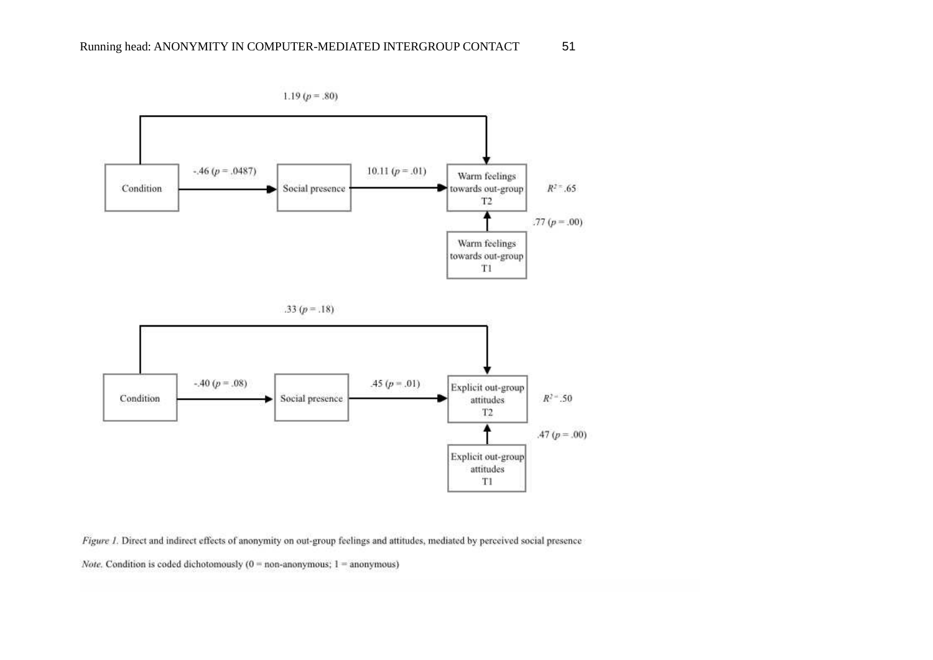

Figure 1. Direct and indirect effects of anonymity on out-group feelings and attitudes, mediated by perceived social presence

Note. Condition is coded dichotomously ( $0 =$  non-anonymous;  $1 =$  anonymous)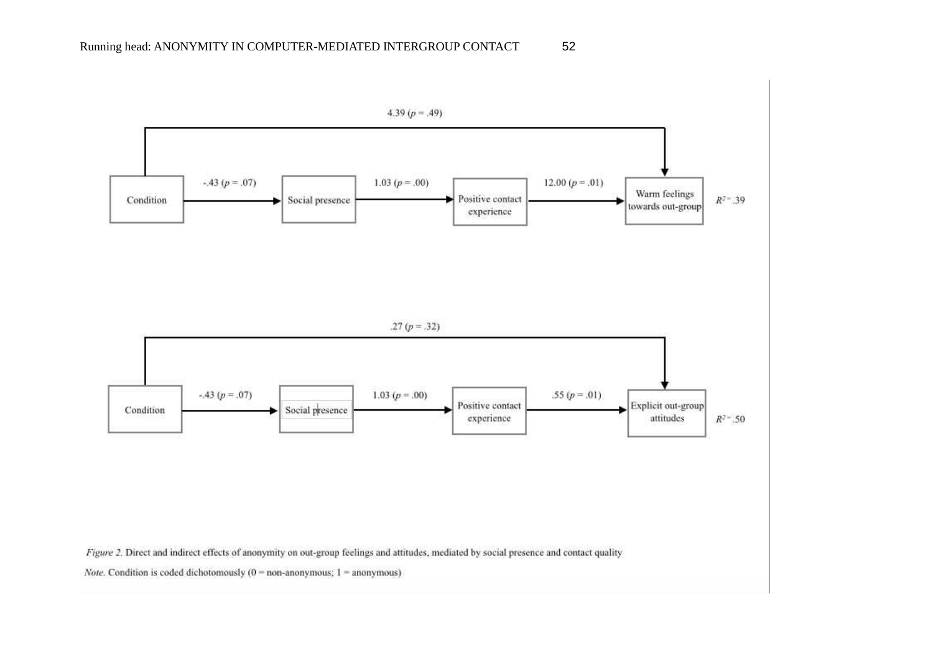



Figure 2. Direct and indirect effects of anonymity on out-group feelings and attitudes, mediated by social presence and contact quality

Note. Condition is coded dichotomously ( $0 =$  non-anonymous;  $1 =$  anonymous)